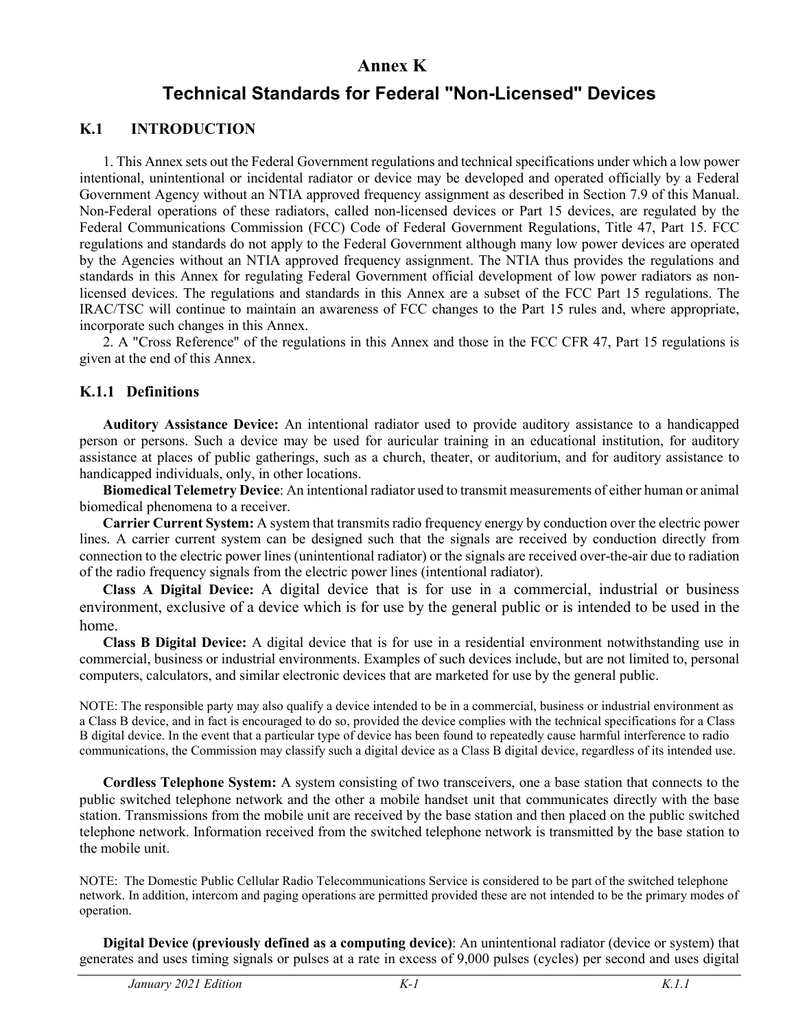# **Annex K**

# **Technical Standards for Federal "Non-Licensed" Devices**

# **K.1 INTRODUCTION**

1. This Annex sets out the Federal Government regulations and technical specifications under which a low power intentional, unintentional or incidental radiator or device may be developed and operated officially by a Federal Government Agency without an NTIA approved frequency assignment as described in Section 7.9 of this Manual. Non-Federal operations of these radiators, called non-licensed devices or Part 15 devices, are regulated by the Federal Communications Commission (FCC) Code of Federal Government Regulations, Title 47, Part 15. FCC regulations and standards do not apply to the Federal Government although many low power devices are operated by the Agencies without an NTIA approved frequency assignment. The NTIA thus provides the regulations and standards in this Annex for regulating Federal Government official development of low power radiators as nonlicensed devices. The regulations and standards in this Annex are a subset of the FCC Part 15 regulations. The IRAC/TSC will continue to maintain an awareness of FCC changes to the Part 15 rules and, where appropriate, incorporate such changes in this Annex.

2. A "Cross Reference" of the regulations in this Annex and those in the FCC CFR 47, Part 15 regulations is given at the end of this Annex.

### **K.1.1 Definitions**

**Auditory Assistance Device:** An intentional radiator used to provide auditory assistance to a handicapped person or persons. Such a device may be used for auricular training in an educational institution, for auditory assistance at places of public gatherings, such as a church, theater, or auditorium, and for auditory assistance to handicapped individuals, only, in other locations.

**Biomedical Telemetry Device**: An intentional radiator used to transmit measurements of either human or animal biomedical phenomena to a receiver.

**Carrier Current System:** A system that transmits radio frequency energy by conduction over the electric power lines. A carrier current system can be designed such that the signals are received by conduction directly from connection to the electric power lines (unintentional radiator) or the signals are received over-the-air due to radiation of the radio frequency signals from the electric power lines (intentional radiator).

**Class A Digital Device:** A digital device that is for use in a commercial, industrial or business environment, exclusive of a device which is for use by the general public or is intended to be used in the home.

**Class B Digital Device:** A digital device that is for use in a residential environment notwithstanding use in commercial, business or industrial environments. Examples of such devices include, but are not limited to, personal computers, calculators, and similar electronic devices that are marketed for use by the general public.

NOTE: The responsible party may also qualify a device intended to be in a commercial, business or industrial environment as a Class B device, and in fact is encouraged to do so, provided the device complies with the technical specifications for a Class B digital device. In the event that a particular type of device has been found to repeatedly cause harmful interference to radio communications, the Commission may classify such a digital device as a Class B digital device, regardless of its intended use.

**Cordless Telephone System:** A system consisting of two transceivers, one a base station that connects to the public switched telephone network and the other a mobile handset unit that communicates directly with the base station. Transmissions from the mobile unit are received by the base station and then placed on the public switched telephone network. Information received from the switched telephone network is transmitted by the base station to the mobile unit.

NOTE: The Domestic Public Cellular Radio Telecommunications Service is considered to be part of the switched telephone network. In addition, intercom and paging operations are permitted provided these are not intended to be the primary modes of operation.

**Digital Device (previously defined as a computing device)**: An unintentional radiator (device or system) that generates and uses timing signals or pulses at a rate in excess of 9,000 pulses (cycles) per second and uses digital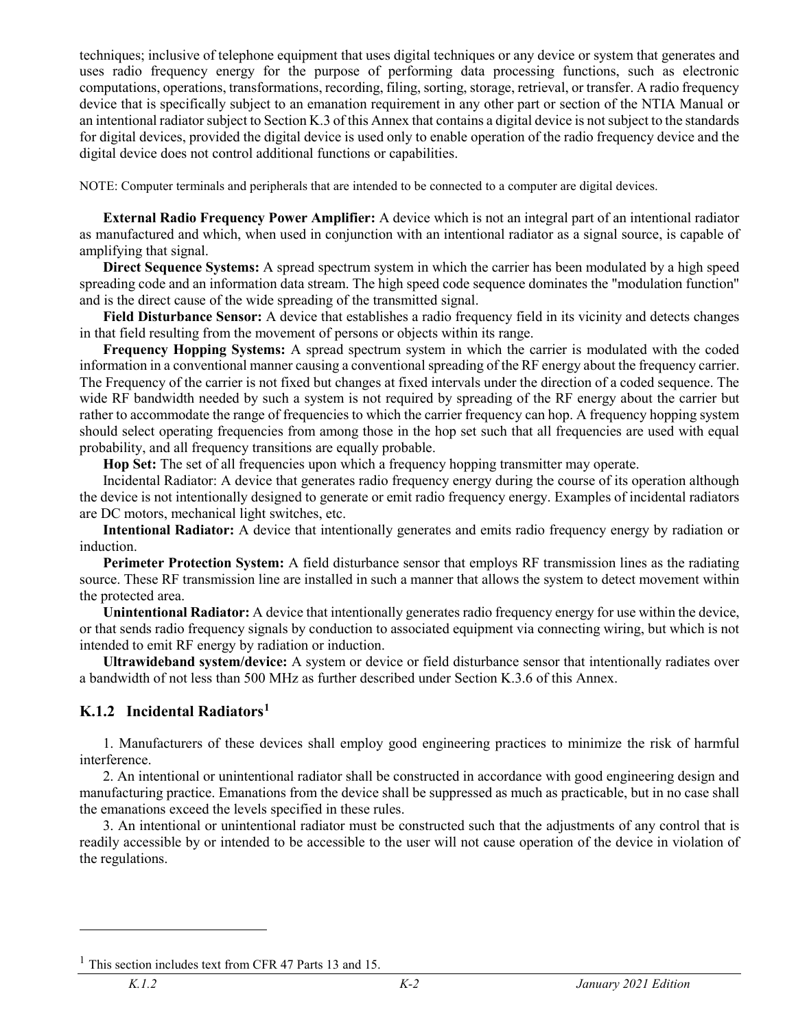techniques; inclusive of telephone equipment that uses digital techniques or any device or system that generates and uses radio frequency energy for the purpose of performing data processing functions, such as electronic computations, operations, transformations, recording, filing, sorting, storage, retrieval, or transfer. A radio frequency device that is specifically subject to an emanation requirement in any other part or section of the NTIA Manual or an intentional radiator subject to Section K.3 of this Annex that contains a digital device is not subject to the standards for digital devices, provided the digital device is used only to enable operation of the radio frequency device and the digital device does not control additional functions or capabilities.

NOTE: Computer terminals and peripherals that are intended to be connected to a computer are digital devices.

**External Radio Frequency Power Amplifier:** A device which is not an integral part of an intentional radiator as manufactured and which, when used in conjunction with an intentional radiator as a signal source, is capable of amplifying that signal.

**Direct Sequence Systems:** A spread spectrum system in which the carrier has been modulated by a high speed spreading code and an information data stream. The high speed code sequence dominates the "modulation function" and is the direct cause of the wide spreading of the transmitted signal.

**Field Disturbance Sensor:** A device that establishes a radio frequency field in its vicinity and detects changes in that field resulting from the movement of persons or objects within its range.

**Frequency Hopping Systems:** A spread spectrum system in which the carrier is modulated with the coded information in a conventional manner causing a conventional spreading of the RF energy about the frequency carrier. The Frequency of the carrier is not fixed but changes at fixed intervals under the direction of a coded sequence. The wide RF bandwidth needed by such a system is not required by spreading of the RF energy about the carrier but rather to accommodate the range of frequencies to which the carrier frequency can hop. A frequency hopping system should select operating frequencies from among those in the hop set such that all frequencies are used with equal probability, and all frequency transitions are equally probable.

**Hop Set:** The set of all frequencies upon which a frequency hopping transmitter may operate.

Incidental Radiator: A device that generates radio frequency energy during the course of its operation although the device is not intentionally designed to generate or emit radio frequency energy. Examples of incidental radiators are DC motors, mechanical light switches, etc.

**Intentional Radiator:** A device that intentionally generates and emits radio frequency energy by radiation or induction.

**Perimeter Protection System:** A field disturbance sensor that employs RF transmission lines as the radiating source. These RF transmission line are installed in such a manner that allows the system to detect movement within the protected area.

**Unintentional Radiator:** A device that intentionally generates radio frequency energy for use within the device, or that sends radio frequency signals by conduction to associated equipment via connecting wiring, but which is not intended to emit RF energy by radiation or induction.

**Ultrawideband system/device:** A system or device or field disturbance sensor that intentionally radiates over a bandwidth of not less than 500 MHz as further described under Section K.3.6 of this Annex.

# **K.1.2 Incidental Radiators[1](#page-1-0)**

1. Manufacturers of these devices shall employ good engineering practices to minimize the risk of harmful interference.

2. An intentional or unintentional radiator shall be constructed in accordance with good engineering design and manufacturing practice. Emanations from the device shall be suppressed as much as practicable, but in no case shall the emanations exceed the levels specified in these rules.

3. An intentional or unintentional radiator must be constructed such that the adjustments of any control that is readily accessible by or intended to be accessible to the user will not cause operation of the device in violation of the regulations.

 $\overline{a}$ 

<span id="page-1-0"></span>This section includes text from CFR 47 Parts 13 and 15.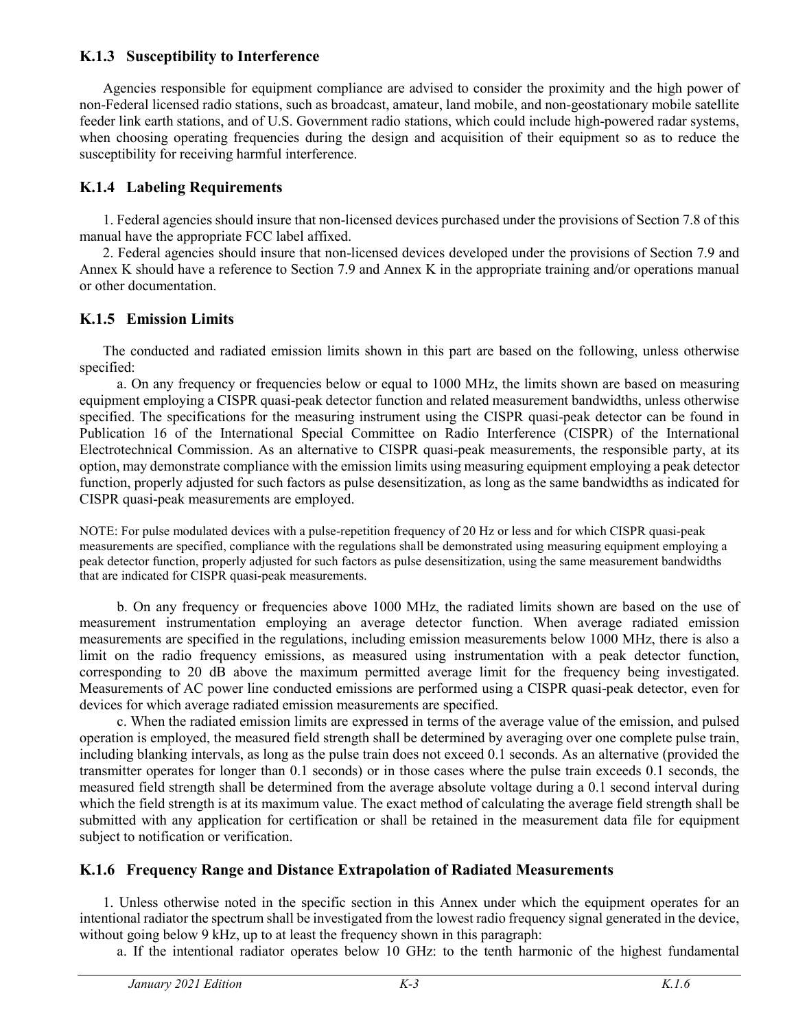## **K.1.3 Susceptibility to Interference**

Agencies responsible for equipment compliance are advised to consider the proximity and the high power of non-Federal licensed radio stations, such as broadcast, amateur, land mobile, and non-geostationary mobile satellite feeder link earth stations, and of U.S. Government radio stations, which could include high-powered radar systems, when choosing operating frequencies during the design and acquisition of their equipment so as to reduce the susceptibility for receiving harmful interference.

# **K.1.4 Labeling Requirements**

1. Federal agencies should insure that non-licensed devices purchased under the provisions of Section 7.8 of this manual have the appropriate FCC label affixed.

2. Federal agencies should insure that non-licensed devices developed under the provisions of Section 7.9 and Annex K should have a reference to Section 7.9 and Annex K in the appropriate training and/or operations manual or other documentation.

# **K.1.5 Emission Limits**

The conducted and radiated emission limits shown in this part are based on the following, unless otherwise specified:

a. On any frequency or frequencies below or equal to 1000 MHz, the limits shown are based on measuring equipment employing a CISPR quasi-peak detector function and related measurement bandwidths, unless otherwise specified. The specifications for the measuring instrument using the CISPR quasi-peak detector can be found in Publication 16 of the International Special Committee on Radio Interference (CISPR) of the International Electrotechnical Commission. As an alternative to CISPR quasi-peak measurements, the responsible party, at its option, may demonstrate compliance with the emission limits using measuring equipment employing a peak detector function, properly adjusted for such factors as pulse desensitization, as long as the same bandwidths as indicated for CISPR quasi-peak measurements are employed.

NOTE: For pulse modulated devices with a pulse-repetition frequency of 20 Hz or less and for which CISPR quasi-peak measurements are specified, compliance with the regulations shall be demonstrated using measuring equipment employing a peak detector function, properly adjusted for such factors as pulse desensitization, using the same measurement bandwidths that are indicated for CISPR quasi-peak measurements.

b. On any frequency or frequencies above 1000 MHz, the radiated limits shown are based on the use of measurement instrumentation employing an average detector function. When average radiated emission measurements are specified in the regulations, including emission measurements below 1000 MHz, there is also a limit on the radio frequency emissions, as measured using instrumentation with a peak detector function, corresponding to 20 dB above the maximum permitted average limit for the frequency being investigated. Measurements of AC power line conducted emissions are performed using a CISPR quasi-peak detector, even for devices for which average radiated emission measurements are specified.

c. When the radiated emission limits are expressed in terms of the average value of the emission, and pulsed operation is employed, the measured field strength shall be determined by averaging over one complete pulse train, including blanking intervals, as long as the pulse train does not exceed 0.1 seconds. As an alternative (provided the transmitter operates for longer than 0.1 seconds) or in those cases where the pulse train exceeds 0.1 seconds, the measured field strength shall be determined from the average absolute voltage during a 0.1 second interval during which the field strength is at its maximum value. The exact method of calculating the average field strength shall be submitted with any application for certification or shall be retained in the measurement data file for equipment subject to notification or verification.

# **K.1.6 Frequency Range and Distance Extrapolation of Radiated Measurements**

1. Unless otherwise noted in the specific section in this Annex under which the equipment operates for an intentional radiator the spectrum shall be investigated from the lowest radio frequency signal generated in the device, without going below 9 kHz, up to at least the frequency shown in this paragraph:

a. If the intentional radiator operates below 10 GHz: to the tenth harmonic of the highest fundamental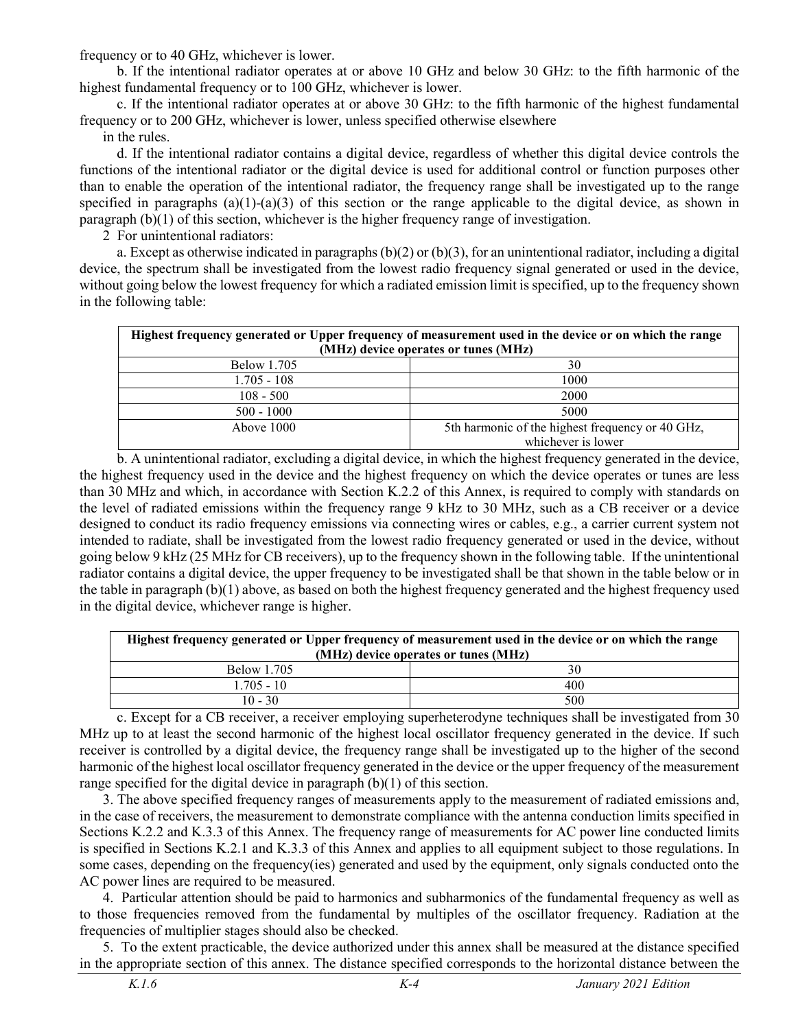frequency or to 40 GHz, whichever is lower.

b. If the intentional radiator operates at or above 10 GHz and below 30 GHz: to the fifth harmonic of the highest fundamental frequency or to 100 GHz, whichever is lower.

c. If the intentional radiator operates at or above 30 GHz: to the fifth harmonic of the highest fundamental frequency or to 200 GHz, whichever is lower, unless specified otherwise elsewhere

in the rules.

d. If the intentional radiator contains a digital device, regardless of whether this digital device controls the functions of the intentional radiator or the digital device is used for additional control or function purposes other than to enable the operation of the intentional radiator, the frequency range shall be investigated up to the range specified in paragraphs  $(a)(1)-(a)(3)$  of this section or the range applicable to the digital device, as shown in paragraph  $(b)(1)$  of this section, whichever is the higher frequency range of investigation.

2 For unintentional radiators:

a. Except as otherwise indicated in paragraphs  $(b)(2)$  or  $(b)(3)$ , for an unintentional radiator, including a digital device, the spectrum shall be investigated from the lowest radio frequency signal generated or used in the device, without going below the lowest frequency for which a radiated emission limit is specified, up to the frequency shown in the following table:

| Highest frequency generated or Upper frequency of measurement used in the device or on which the range<br>(MHz) device operates or tunes (MHz) |                                                                        |  |
|------------------------------------------------------------------------------------------------------------------------------------------------|------------------------------------------------------------------------|--|
| <b>Below 1.705</b>                                                                                                                             | 30                                                                     |  |
| $1.705 - 108$                                                                                                                                  | 1000                                                                   |  |
| $108 - 500$                                                                                                                                    | 2000                                                                   |  |
| $500 - 1000$                                                                                                                                   | 5000                                                                   |  |
| Above 1000                                                                                                                                     | 5th harmonic of the highest frequency or 40 GHz,<br>whichever is lower |  |

b. A unintentional radiator, excluding a digital device, in which the highest frequency generated in the device, the highest frequency used in the device and the highest frequency on which the device operates or tunes are less than 30 MHz and which, in accordance with Section K.2.2 of this Annex, is required to comply with standards on the level of radiated emissions within the frequency range 9 kHz to 30 MHz, such as a CB receiver or a device designed to conduct its radio frequency emissions via connecting wires or cables, e.g., a carrier current system not intended to radiate, shall be investigated from the lowest radio frequency generated or used in the device, without going below 9 kHz (25 MHz for CB receivers), up to the frequency shown in the following table. If the unintentional radiator contains a digital device, the upper frequency to be investigated shall be that shown in the table below or in the table in paragraph (b)(1) above, as based on both the highest frequency generated and the highest frequency used in the digital device, whichever range is higher.

| Highest frequency generated or Upper frequency of measurement used in the device or on which the range<br>(MHz) device operates or tunes (MHz) |     |  |  |
|------------------------------------------------------------------------------------------------------------------------------------------------|-----|--|--|
| <b>Below 1.705</b>                                                                                                                             | 30  |  |  |
| $1.705 - 10$                                                                                                                                   | 400 |  |  |
| $10 - 30$                                                                                                                                      | 500 |  |  |

c. Except for a CB receiver, a receiver employing superheterodyne techniques shall be investigated from 30 MHz up to at least the second harmonic of the highest local oscillator frequency generated in the device. If such receiver is controlled by a digital device, the frequency range shall be investigated up to the higher of the second harmonic of the highest local oscillator frequency generated in the device or the upper frequency of the measurement range specified for the digital device in paragraph (b)(1) of this section.

3. The above specified frequency ranges of measurements apply to the measurement of radiated emissions and, in the case of receivers, the measurement to demonstrate compliance with the antenna conduction limits specified in Sections K.2.2 and K.3.3 of this Annex. The frequency range of measurements for AC power line conducted limits is specified in Sections K.2.1 and K.3.3 of this Annex and applies to all equipment subject to those regulations. In some cases, depending on the frequency(ies) generated and used by the equipment, only signals conducted onto the AC power lines are required to be measured.

4. Particular attention should be paid to harmonics and subharmonics of the fundamental frequency as well as to those frequencies removed from the fundamental by multiples of the oscillator frequency. Radiation at the frequencies of multiplier stages should also be checked.

5. To the extent practicable, the device authorized under this annex shall be measured at the distance specified in the appropriate section of this annex. The distance specified corresponds to the horizontal distance between the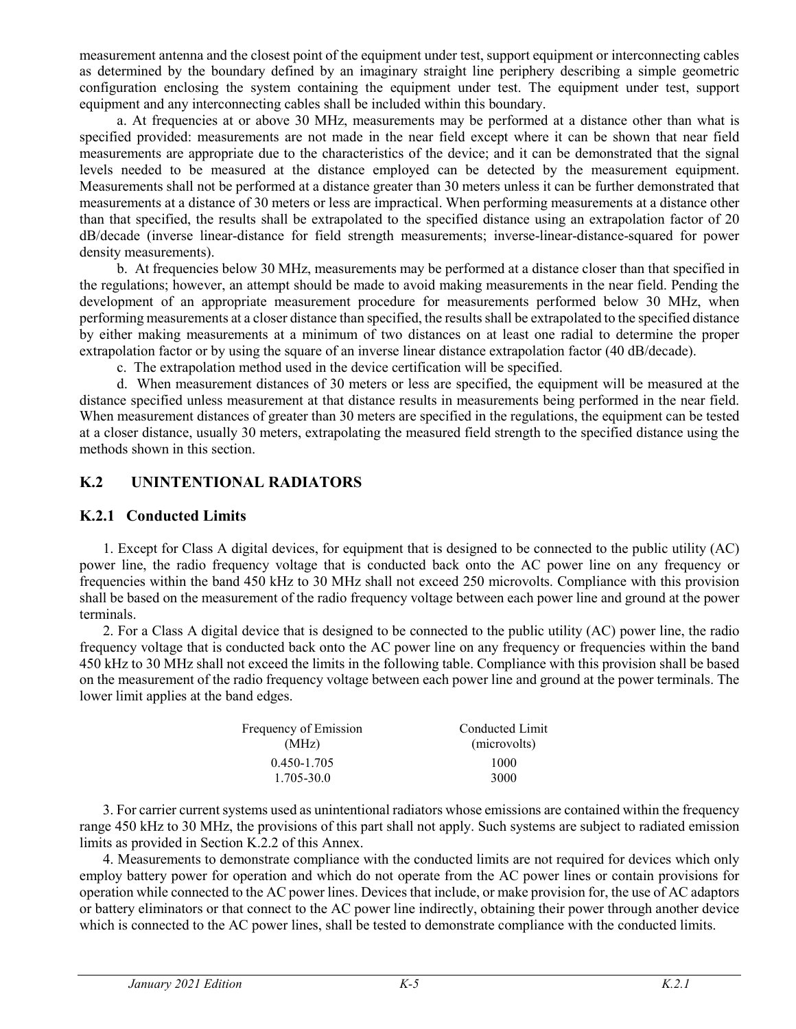measurement antenna and the closest point of the equipment under test, support equipment or interconnecting cables as determined by the boundary defined by an imaginary straight line periphery describing a simple geometric configuration enclosing the system containing the equipment under test. The equipment under test, support equipment and any interconnecting cables shall be included within this boundary.

a. At frequencies at or above 30 MHz, measurements may be performed at a distance other than what is specified provided: measurements are not made in the near field except where it can be shown that near field measurements are appropriate due to the characteristics of the device; and it can be demonstrated that the signal levels needed to be measured at the distance employed can be detected by the measurement equipment. Measurements shall not be performed at a distance greater than 30 meters unless it can be further demonstrated that measurements at a distance of 30 meters or less are impractical. When performing measurements at a distance other than that specified, the results shall be extrapolated to the specified distance using an extrapolation factor of 20 dB/decade (inverse linear-distance for field strength measurements; inverse-linear-distance-squared for power density measurements).

b. At frequencies below 30 MHz, measurements may be performed at a distance closer than that specified in the regulations; however, an attempt should be made to avoid making measurements in the near field. Pending the development of an appropriate measurement procedure for measurements performed below 30 MHz, when performing measurements at a closer distance than specified, the results shall be extrapolated to the specified distance by either making measurements at a minimum of two distances on at least one radial to determine the proper extrapolation factor or by using the square of an inverse linear distance extrapolation factor (40 dB/decade).

c. The extrapolation method used in the device certification will be specified.

d. When measurement distances of 30 meters or less are specified, the equipment will be measured at the distance specified unless measurement at that distance results in measurements being performed in the near field. When measurement distances of greater than 30 meters are specified in the regulations, the equipment can be tested at a closer distance, usually 30 meters, extrapolating the measured field strength to the specified distance using the methods shown in this section.

# **K.2 UNINTENTIONAL RADIATORS**

# **K.2.1 Conducted Limits**

1. Except for Class A digital devices, for equipment that is designed to be connected to the public utility (AC) power line, the radio frequency voltage that is conducted back onto the AC power line on any frequency or frequencies within the band 450 kHz to 30 MHz shall not exceed 250 microvolts. Compliance with this provision shall be based on the measurement of the radio frequency voltage between each power line and ground at the power terminals.

2. For a Class A digital device that is designed to be connected to the public utility (AC) power line, the radio frequency voltage that is conducted back onto the AC power line on any frequency or frequencies within the band 450 kHz to 30 MHz shall not exceed the limits in the following table. Compliance with this provision shall be based on the measurement of the radio frequency voltage between each power line and ground at the power terminals. The lower limit applies at the band edges.

| Frequency of Emission | Conducted Limit |
|-----------------------|-----------------|
| (MHz)                 | (microvolts)    |
| $0.450 - 1.705$       | 1000            |
| 1.705-30.0            | 3000            |

3. For carrier current systems used as unintentional radiators whose emissions are contained within the frequency range 450 kHz to 30 MHz, the provisions of this part shall not apply. Such systems are subject to radiated emission limits as provided in Section K.2.2 of this Annex.

4. Measurements to demonstrate compliance with the conducted limits are not required for devices which only employ battery power for operation and which do not operate from the AC power lines or contain provisions for operation while connected to the AC power lines. Devices that include, or make provision for, the use of AC adaptors or battery eliminators or that connect to the AC power line indirectly, obtaining their power through another device which is connected to the AC power lines, shall be tested to demonstrate compliance with the conducted limits.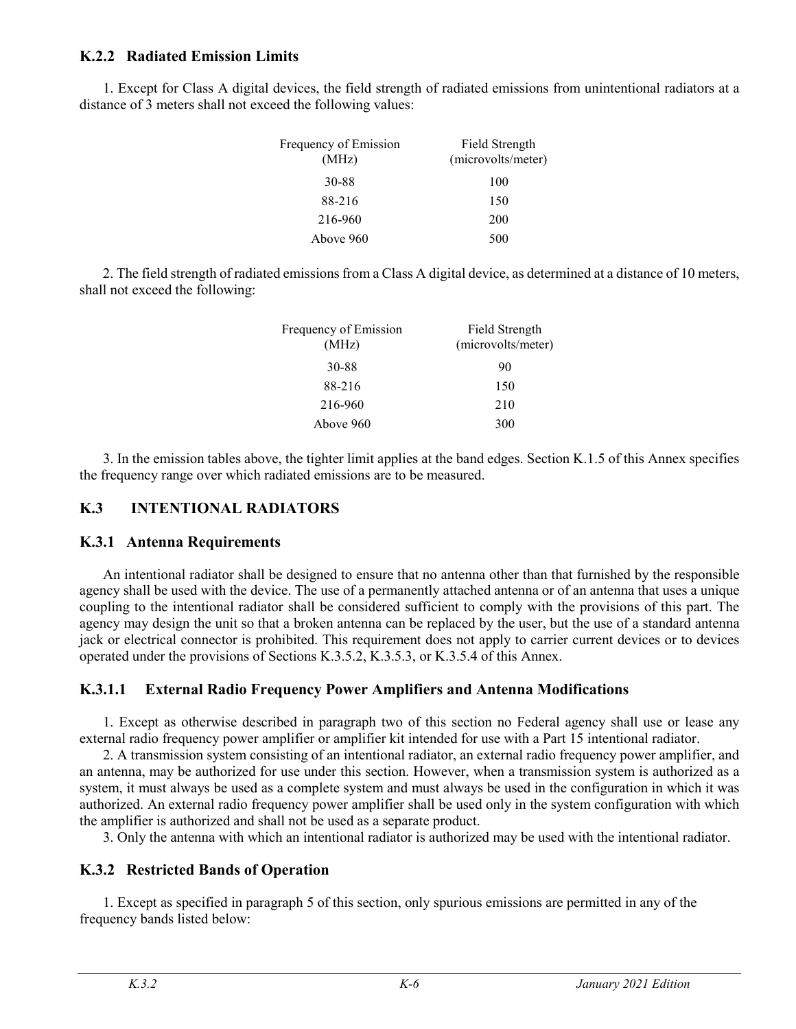# **K.2.2 Radiated Emission Limits**

1. Except for Class A digital devices, the field strength of radiated emissions from unintentional radiators at a distance of 3 meters shall not exceed the following values:

| Frequency of Emission<br>(MHz) | Field Strength<br>(microvolts/meter) |
|--------------------------------|--------------------------------------|
| 30-88                          | 100                                  |
| 88-216                         | 150                                  |
| 216-960                        | 200                                  |
| Above 960                      | 500                                  |

2. The field strength of radiated emissions from a Class A digital device, as determined at a distance of 10 meters, shall not exceed the following:

| Frequency of Emission<br>(MHz) | Field Strength<br>(microvolts/meter) |
|--------------------------------|--------------------------------------|
| 30-88                          | 90                                   |
| 88-216                         | 150                                  |
| 216-960                        | 210                                  |
| Above 960                      | 300                                  |

3. In the emission tables above, the tighter limit applies at the band edges. Section K.1.5 of this Annex specifies the frequency range over which radiated emissions are to be measured.

# **K.3 INTENTIONAL RADIATORS**

# **K.3.1 Antenna Requirements**

An intentional radiator shall be designed to ensure that no antenna other than that furnished by the responsible agency shall be used with the device. The use of a permanently attached antenna or of an antenna that uses a unique coupling to the intentional radiator shall be considered sufficient to comply with the provisions of this part. The agency may design the unit so that a broken antenna can be replaced by the user, but the use of a standard antenna jack or electrical connector is prohibited. This requirement does not apply to carrier current devices or to devices operated under the provisions of Sections K.3.5.2, K.3.5.3, or K.3.5.4 of this Annex.

# **K.3.1.1 External Radio Frequency Power Amplifiers and Antenna Modifications**

1. Except as otherwise described in paragraph two of this section no Federal agency shall use or lease any external radio frequency power amplifier or amplifier kit intended for use with a Part 15 intentional radiator.

2. A transmission system consisting of an intentional radiator, an external radio frequency power amplifier, and an antenna, may be authorized for use under this section. However, when a transmission system is authorized as a system, it must always be used as a complete system and must always be used in the configuration in which it was authorized. An external radio frequency power amplifier shall be used only in the system configuration with which the amplifier is authorized and shall not be used as a separate product.

3. Only the antenna with which an intentional radiator is authorized may be used with the intentional radiator.

# **K.3.2 Restricted Bands of Operation**

1. Except as specified in paragraph 5 of this section, only spurious emissions are permitted in any of the frequency bands listed below: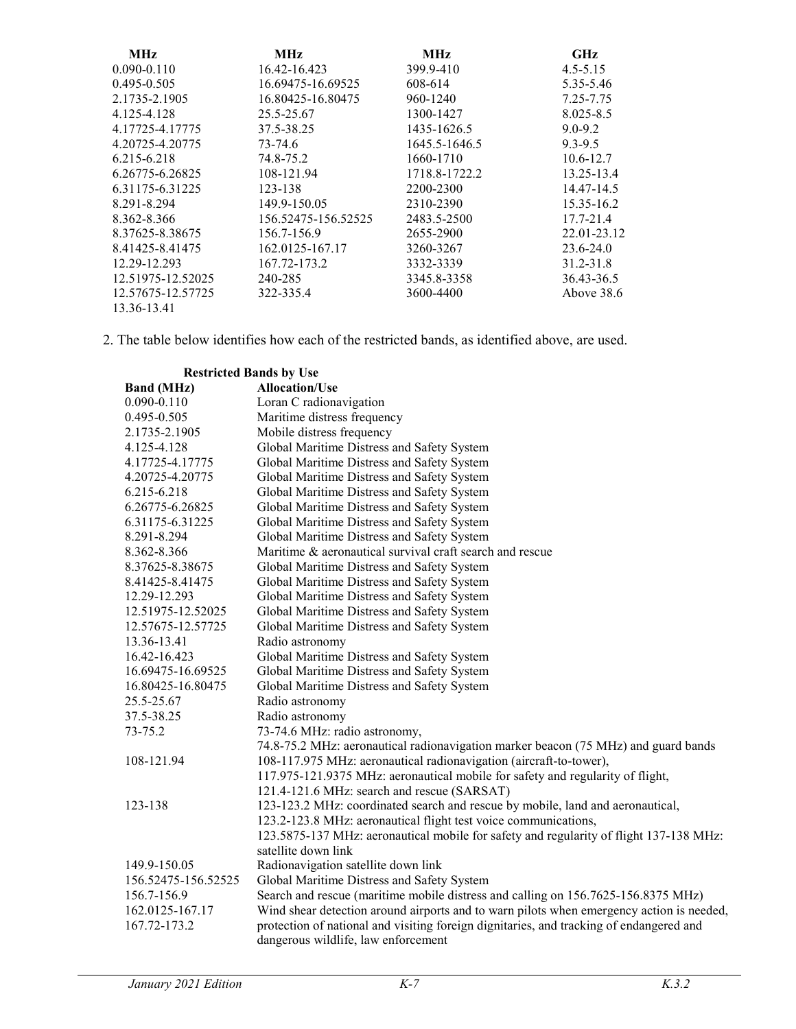| <b>MHz</b>        | <b>MHz</b>          | <b>MHz</b>    | GHz           |
|-------------------|---------------------|---------------|---------------|
| $0.090 - 0.110$   | 16.42-16.423        | 399.9-410     | $4.5 - 5.15$  |
| 0.495-0.505       | 16.69475-16.69525   | 608-614       | 5.35-5.46     |
| 2.1735-2.1905     | 16.80425-16.80475   | 960-1240      | 7.25-7.75     |
| 4.125-4.128       | 25.5-25.67          | 1300-1427     | $8.025 - 8.5$ |
| 4.17725-4.17775   | 37.5-38.25          | 1435-1626.5   | $9.0 - 9.2$   |
| 4.20725-4.20775   | 73-74.6             | 1645.5-1646.5 | $9.3 - 9.5$   |
| 6.215-6.218       | 74.8-75.2           | 1660-1710     | $10.6 - 12.7$ |
| 6.26775-6.26825   | 108-121.94          | 1718.8-1722.2 | 13.25-13.4    |
| 6.31175-6.31225   | 123-138             | 2200-2300     | 14.47-14.5    |
| 8.291-8.294       | 149.9-150.05        | 2310-2390     | 15.35-16.2    |
| 8.362-8.366       | 156.52475-156.52525 | 2483.5-2500   | 17.7-21.4     |
| 8.37625-8.38675   | 156.7-156.9         | 2655-2900     | 22.01-23.12   |
| 8.41425-8.41475   | 162.0125-167.17     | 3260-3267     | 23.6-24.0     |
| 12.29-12.293      | 167.72-173.2        | 3332-3339     | 31.2-31.8     |
| 12.51975-12.52025 | 240-285             | 3345.8-3358   | 36.43-36.5    |
| 12.57675-12.57725 | 322-335.4           | 3600-4400     | Above 38.6    |
| 13.36-13.41       |                     |               |               |

2. The table below identifies how each of the restricted bands, as identified above, are used.

|                     | <b>Restricted Bands by Use</b>                                                           |
|---------------------|------------------------------------------------------------------------------------------|
| <b>Band (MHz)</b>   | <b>Allocation/Use</b>                                                                    |
| $0.090 - 0.110$     | Loran C radionavigation                                                                  |
| 0.495-0.505         | Maritime distress frequency                                                              |
| 2.1735-2.1905       | Mobile distress frequency                                                                |
| 4.125-4.128         | Global Maritime Distress and Safety System                                               |
| 4.17725-4.17775     | Global Maritime Distress and Safety System                                               |
| 4.20725-4.20775     | Global Maritime Distress and Safety System                                               |
| 6.215-6.218         | Global Maritime Distress and Safety System                                               |
| 6.26775-6.26825     | Global Maritime Distress and Safety System                                               |
| 6.31175-6.31225     | Global Maritime Distress and Safety System                                               |
| 8.291-8.294         | Global Maritime Distress and Safety System                                               |
| 8.362-8.366         | Maritime & aeronautical survival craft search and rescue                                 |
| 8.37625-8.38675     | Global Maritime Distress and Safety System                                               |
| 8.41425-8.41475     | Global Maritime Distress and Safety System                                               |
| 12.29-12.293        | Global Maritime Distress and Safety System                                               |
| 12.51975-12.52025   | Global Maritime Distress and Safety System                                               |
| 12.57675-12.57725   | Global Maritime Distress and Safety System                                               |
| 13.36-13.41         | Radio astronomy                                                                          |
| 16.42-16.423        | Global Maritime Distress and Safety System                                               |
| 16.69475-16.69525   | Global Maritime Distress and Safety System                                               |
| 16.80425-16.80475   | Global Maritime Distress and Safety System                                               |
| 25.5-25.67          | Radio astronomy                                                                          |
| 37.5-38.25          | Radio astronomy                                                                          |
| 73-75.2             | 73-74.6 MHz: radio astronomy,                                                            |
|                     | 74.8-75.2 MHz: aeronautical radionavigation marker beacon (75 MHz) and guard bands       |
| 108-121.94          | 108-117.975 MHz: aeronautical radionavigation (aircraft-to-tower),                       |
|                     | 117.975-121.9375 MHz: aeronautical mobile for safety and regularity of flight,           |
|                     | 121.4-121.6 MHz: search and rescue (SARSAT)                                              |
| 123-138             | 123-123.2 MHz: coordinated search and rescue by mobile, land and aeronautical,           |
|                     | 123.2-123.8 MHz: aeronautical flight test voice communications,                          |
|                     | 123.5875-137 MHz: aeronautical mobile for safety and regularity of flight 137-138 MHz:   |
|                     | satellite down link                                                                      |
| 149.9-150.05        | Radionavigation satellite down link                                                      |
| 156.52475-156.52525 | Global Maritime Distress and Safety System                                               |
| 156.7-156.9         | Search and rescue (maritime mobile distress and calling on 156.7625-156.8375 MHz)        |
| 162.0125-167.17     | Wind shear detection around airports and to warn pilots when emergency action is needed, |
| 167.72-173.2        | protection of national and visiting foreign dignitaries, and tracking of endangered and  |
|                     | dangerous wildlife, law enforcement                                                      |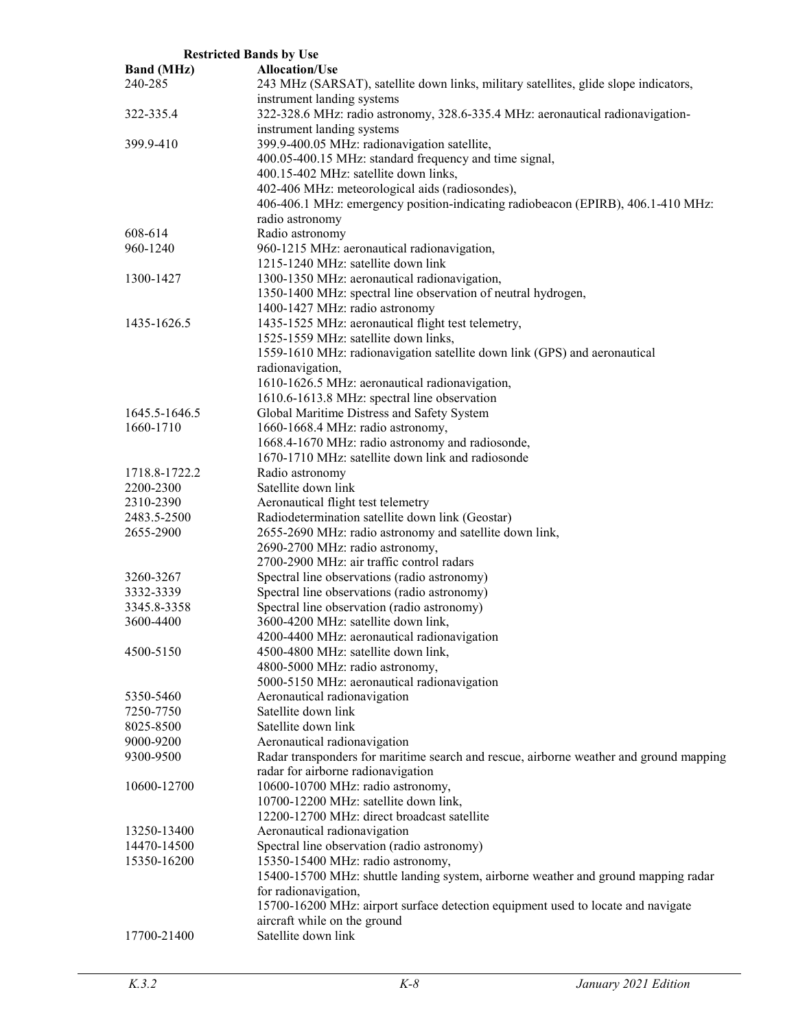| <b>Restricted Bands by Use</b> |                                                                                                          |
|--------------------------------|----------------------------------------------------------------------------------------------------------|
| <b>Band (MHz)</b>              | <b>Allocation/Use</b>                                                                                    |
| 240-285                        | 243 MHz (SARSAT), satellite down links, military satellites, glide slope indicators,                     |
|                                | instrument landing systems                                                                               |
| 322-335.4                      | 322-328.6 MHz: radio astronomy, 328.6-335.4 MHz: aeronautical radionavigation-                           |
|                                | instrument landing systems                                                                               |
| 399.9-410                      | 399.9-400.05 MHz: radionavigation satellite,                                                             |
|                                | 400.05-400.15 MHz: standard frequency and time signal,                                                   |
|                                | 400.15-402 MHz: satellite down links,                                                                    |
|                                | 402-406 MHz: meteorological aids (radiosondes),                                                          |
|                                | 406-406.1 MHz: emergency position-indicating radiobeacon (EPIRB), 406.1-410 MHz:                         |
|                                | radio astronomy                                                                                          |
| 608-614                        | Radio astronomy                                                                                          |
| 960-1240                       | 960-1215 MHz: aeronautical radionavigation,                                                              |
|                                | 1215-1240 MHz: satellite down link                                                                       |
| 1300-1427                      | 1300-1350 MHz: aeronautical radionavigation,                                                             |
|                                | 1350-1400 MHz: spectral line observation of neutral hydrogen,                                            |
|                                | 1400-1427 MHz: radio astronomy                                                                           |
| 1435-1626.5                    | 1435-1525 MHz: aeronautical flight test telemetry,                                                       |
|                                | 1525-1559 MHz: satellite down links,                                                                     |
|                                | 1559-1610 MHz: radionavigation satellite down link (GPS) and aeronautical                                |
|                                | radionavigation,                                                                                         |
|                                | 1610-1626.5 MHz: aeronautical radionavigation,                                                           |
|                                | 1610.6-1613.8 MHz: spectral line observation                                                             |
| 1645.5-1646.5                  | Global Maritime Distress and Safety System                                                               |
| 1660-1710                      | 1660-1668.4 MHz: radio astronomy,                                                                        |
|                                | 1668.4-1670 MHz: radio astronomy and radiosonde,                                                         |
|                                | 1670-1710 MHz: satellite down link and radiosonde                                                        |
| 1718.8-1722.2                  | Radio astronomy                                                                                          |
| 2200-2300                      | Satellite down link                                                                                      |
| 2310-2390                      | Aeronautical flight test telemetry                                                                       |
| 2483.5-2500                    | Radiodetermination satellite down link (Geostar)                                                         |
| 2655-2900                      | 2655-2690 MHz: radio astronomy and satellite down link,                                                  |
|                                | 2690-2700 MHz: radio astronomy,                                                                          |
|                                | 2700-2900 MHz: air traffic control radars                                                                |
| 3260-3267                      | Spectral line observations (radio astronomy)                                                             |
| 3332-3339                      | Spectral line observations (radio astronomy)                                                             |
| 3345.8-3358                    | Spectral line observation (radio astronomy)                                                              |
| 3600-4400                      | 3600-4200 MHz: satellite down link,                                                                      |
|                                | 4200-4400 MHz: aeronautical radionavigation                                                              |
| 4500-5150                      | 4500-4800 MHz: satellite down link,                                                                      |
|                                | 4800-5000 MHz: radio astronomy,                                                                          |
|                                | 5000-5150 MHz: aeronautical radionavigation                                                              |
| 5350-5460                      | Aeronautical radionavigation                                                                             |
| 7250-7750                      | Satellite down link                                                                                      |
| 8025-8500                      | Satellite down link                                                                                      |
| 9000-9200                      | Aeronautical radionavigation                                                                             |
| 9300-9500                      | Radar transponders for maritime search and rescue, airborne weather and ground mapping                   |
|                                | radar for airborne radionavigation                                                                       |
| 10600-12700                    | 10600-10700 MHz: radio astronomy,                                                                        |
|                                | 10700-12200 MHz: satellite down link,                                                                    |
|                                | 12200-12700 MHz: direct broadcast satellite                                                              |
| 13250-13400                    | Aeronautical radionavigation                                                                             |
| 14470-14500                    | Spectral line observation (radio astronomy)                                                              |
| 15350-16200                    | 15350-15400 MHz: radio astronomy,                                                                        |
|                                | 15400-15700 MHz: shuttle landing system, airborne weather and ground mapping radar                       |
|                                | for radionavigation,<br>15700-16200 MHz: airport surface detection equipment used to locate and navigate |
|                                | aircraft while on the ground                                                                             |
| 17700-21400                    | Satellite down link                                                                                      |
|                                |                                                                                                          |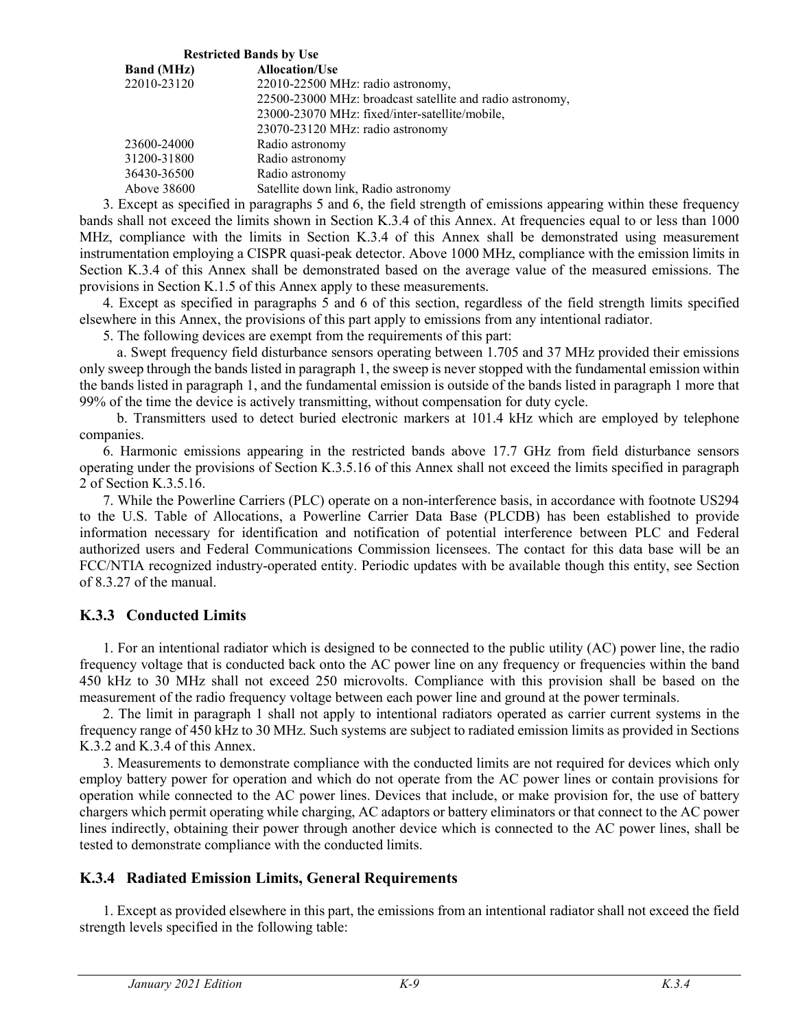| <b>Restricted Bands by Use</b> |                                                           |
|--------------------------------|-----------------------------------------------------------|
| <b>Band (MHz)</b>              | <b>Allocation/Use</b>                                     |
| 22010-23120                    | 22010-22500 MHz: radio astronomy,                         |
|                                | 22500-23000 MHz: broadcast satellite and radio astronomy, |
|                                | 23000-23070 MHz: fixed/inter-satellite/mobile,            |
|                                | 23070-23120 MHz: radio astronomy                          |
| 23600-24000                    | Radio astronomy                                           |
| 31200-31800                    | Radio astronomy                                           |
| 36430-36500                    | Radio astronomy                                           |
| Above 38600                    | Satellite down link, Radio astronomy                      |

3. Except as specified in paragraphs 5 and 6, the field strength of emissions appearing within these frequency bands shall not exceed the limits shown in Section K.3.4 of this Annex. At frequencies equal to or less than 1000 MHz, compliance with the limits in Section K.3.4 of this Annex shall be demonstrated using measurement instrumentation employing a CISPR quasi-peak detector. Above 1000 MHz, compliance with the emission limits in Section K.3.4 of this Annex shall be demonstrated based on the average value of the measured emissions. The provisions in Section K.1.5 of this Annex apply to these measurements.

4. Except as specified in paragraphs 5 and 6 of this section, regardless of the field strength limits specified elsewhere in this Annex, the provisions of this part apply to emissions from any intentional radiator.

5. The following devices are exempt from the requirements of this part:

a. Swept frequency field disturbance sensors operating between 1.705 and 37 MHz provided their emissions only sweep through the bands listed in paragraph 1, the sweep is never stopped with the fundamental emission within the bands listed in paragraph 1, and the fundamental emission is outside of the bands listed in paragraph 1 more that 99% of the time the device is actively transmitting, without compensation for duty cycle.

b. Transmitters used to detect buried electronic markers at 101.4 kHz which are employed by telephone companies.

6. Harmonic emissions appearing in the restricted bands above 17.7 GHz from field disturbance sensors operating under the provisions of Section K.3.5.16 of this Annex shall not exceed the limits specified in paragraph 2 of Section K.3.5.16.

7. While the Powerline Carriers (PLC) operate on a non-interference basis, in accordance with footnote US294 to the U.S. Table of Allocations, a Powerline Carrier Data Base (PLCDB) has been established to provide information necessary for identification and notification of potential interference between PLC and Federal authorized users and Federal Communications Commission licensees. The contact for this data base will be an FCC/NTIA recognized industry-operated entity. Periodic updates with be available though this entity, see Section of 8.3.27 of the manual.

### **K.3.3 Conducted Limits**

1. For an intentional radiator which is designed to be connected to the public utility (AC) power line, the radio frequency voltage that is conducted back onto the AC power line on any frequency or frequencies within the band 450 kHz to 30 MHz shall not exceed 250 microvolts. Compliance with this provision shall be based on the measurement of the radio frequency voltage between each power line and ground at the power terminals.

2. The limit in paragraph 1 shall not apply to intentional radiators operated as carrier current systems in the frequency range of 450 kHz to 30 MHz. Such systems are subject to radiated emission limits as provided in Sections K.3.2 and K.3.4 of this Annex.

3. Measurements to demonstrate compliance with the conducted limits are not required for devices which only employ battery power for operation and which do not operate from the AC power lines or contain provisions for operation while connected to the AC power lines. Devices that include, or make provision for, the use of battery chargers which permit operating while charging, AC adaptors or battery eliminators or that connect to the AC power lines indirectly, obtaining their power through another device which is connected to the AC power lines, shall be tested to demonstrate compliance with the conducted limits.

# **K.3.4 Radiated Emission Limits, General Requirements**

1. Except as provided elsewhere in this part, the emissions from an intentional radiator shall not exceed the field strength levels specified in the following table: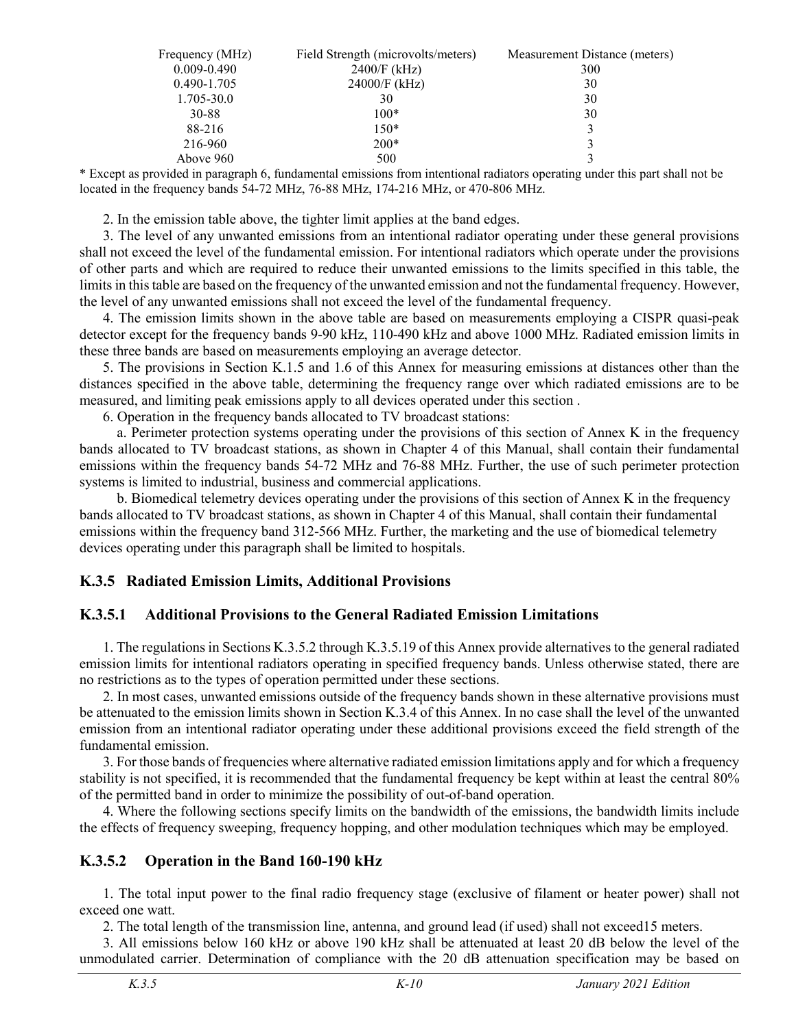| Frequency (MHz) | Field Strength (microvolts/meters) | Measurement Distance (meters) |
|-----------------|------------------------------------|-------------------------------|
| $0.009 - 0.490$ | 2400/F (kHz)                       | 300                           |
| $0.490 - 1.705$ | 24000/F (kHz)                      | 30                            |
| 1.705-30.0      | 30                                 | 30                            |
| 30-88           | $100*$                             | 30                            |
| 88-216          | $150*$                             | 3                             |
| 216-960         | $200*$                             | 3                             |
| Above 960       | 500                                |                               |

\* Except as provided in paragraph 6, fundamental emissions from intentional radiators operating under this part shall not be located in the frequency bands 54-72 MHz, 76-88 MHz, 174-216 MHz, or 470-806 MHz.

2. In the emission table above, the tighter limit applies at the band edges.

3. The level of any unwanted emissions from an intentional radiator operating under these general provisions shall not exceed the level of the fundamental emission. For intentional radiators which operate under the provisions of other parts and which are required to reduce their unwanted emissions to the limits specified in this table, the limits in this table are based on the frequency of the unwanted emission and not the fundamental frequency. However, the level of any unwanted emissions shall not exceed the level of the fundamental frequency.

4. The emission limits shown in the above table are based on measurements employing a CISPR quasi-peak detector except for the frequency bands 9-90 kHz, 110-490 kHz and above 1000 MHz. Radiated emission limits in these three bands are based on measurements employing an average detector.

5. The provisions in Section K.1.5 and 1.6 of this Annex for measuring emissions at distances other than the distances specified in the above table, determining the frequency range over which radiated emissions are to be measured, and limiting peak emissions apply to all devices operated under this section .

6. Operation in the frequency bands allocated to TV broadcast stations:

a. Perimeter protection systems operating under the provisions of this section of Annex K in the frequency bands allocated to TV broadcast stations, as shown in Chapter 4 of this Manual, shall contain their fundamental emissions within the frequency bands 54-72 MHz and 76-88 MHz. Further, the use of such perimeter protection systems is limited to industrial, business and commercial applications.

b. Biomedical telemetry devices operating under the provisions of this section of Annex K in the frequency bands allocated to TV broadcast stations, as shown in Chapter 4 of this Manual, shall contain their fundamental emissions within the frequency band 312-566 MHz. Further, the marketing and the use of biomedical telemetry devices operating under this paragraph shall be limited to hospitals.

# **K.3.5 Radiated Emission Limits, Additional Provisions**

### **K.3.5.1 Additional Provisions to the General Radiated Emission Limitations**

1. The regulations in Sections K.3.5.2 through K.3.5.19 of this Annex provide alternatives to the general radiated emission limits for intentional radiators operating in specified frequency bands. Unless otherwise stated, there are no restrictions as to the types of operation permitted under these sections.

2. In most cases, unwanted emissions outside of the frequency bands shown in these alternative provisions must be attenuated to the emission limits shown in Section K.3.4 of this Annex. In no case shall the level of the unwanted emission from an intentional radiator operating under these additional provisions exceed the field strength of the fundamental emission.

3. For those bands of frequencies where alternative radiated emission limitations apply and for which a frequency stability is not specified, it is recommended that the fundamental frequency be kept within at least the central 80% of the permitted band in order to minimize the possibility of out-of-band operation.

4. Where the following sections specify limits on the bandwidth of the emissions, the bandwidth limits include the effects of frequency sweeping, frequency hopping, and other modulation techniques which may be employed.

### **K.3.5.2 Operation in the Band 160-190 kHz**

1. The total input power to the final radio frequency stage (exclusive of filament or heater power) shall not exceed one watt.

2. The total length of the transmission line, antenna, and ground lead (if used) shall not exceed15 meters.

3. All emissions below 160 kHz or above 190 kHz shall be attenuated at least 20 dB below the level of the unmodulated carrier. Determination of compliance with the 20 dB attenuation specification may be based on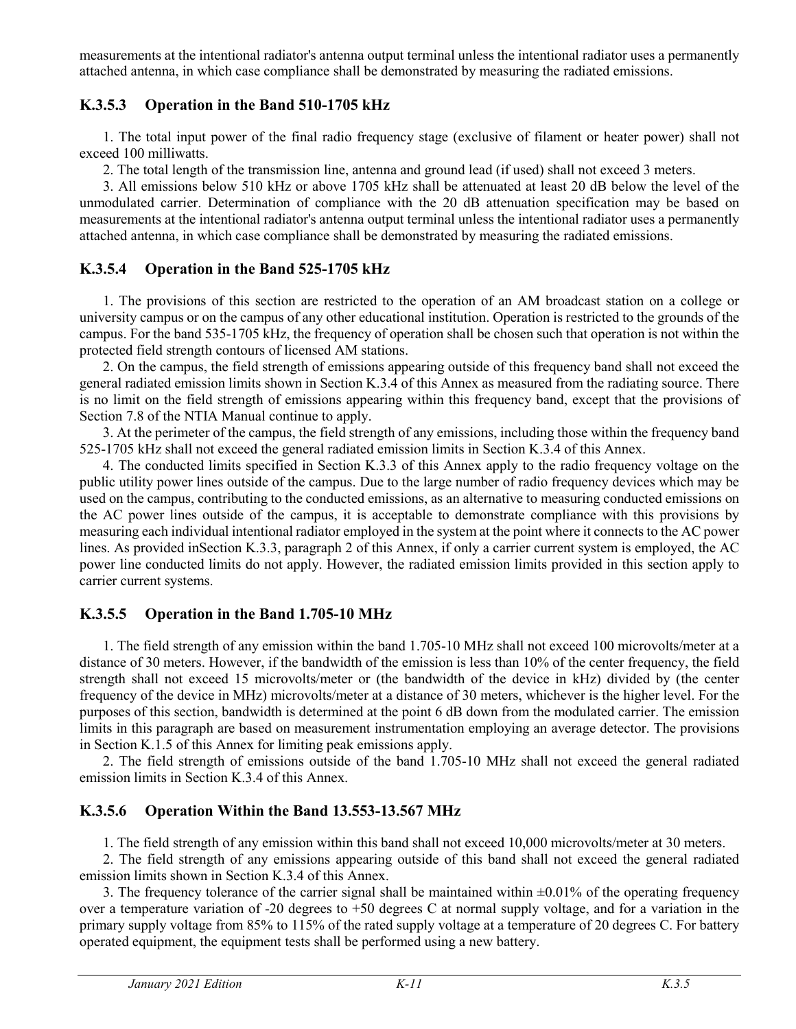measurements at the intentional radiator's antenna output terminal unless the intentional radiator uses a permanently attached antenna, in which case compliance shall be demonstrated by measuring the radiated emissions.

# **K.3.5.3 Operation in the Band 510-1705 kHz**

1. The total input power of the final radio frequency stage (exclusive of filament or heater power) shall not exceed 100 milliwatts.

2. The total length of the transmission line, antenna and ground lead (if used) shall not exceed 3 meters.

3. All emissions below 510 kHz or above 1705 kHz shall be attenuated at least 20 dB below the level of the unmodulated carrier. Determination of compliance with the 20 dB attenuation specification may be based on measurements at the intentional radiator's antenna output terminal unless the intentional radiator uses a permanently attached antenna, in which case compliance shall be demonstrated by measuring the radiated emissions.

# **K.3.5.4 Operation in the Band 525-1705 kHz**

1. The provisions of this section are restricted to the operation of an AM broadcast station on a college or university campus or on the campus of any other educational institution. Operation is restricted to the grounds of the campus. For the band 535-1705 kHz, the frequency of operation shall be chosen such that operation is not within the protected field strength contours of licensed AM stations.

2. On the campus, the field strength of emissions appearing outside of this frequency band shall not exceed the general radiated emission limits shown in Section K.3.4 of this Annex as measured from the radiating source. There is no limit on the field strength of emissions appearing within this frequency band, except that the provisions of Section 7.8 of the NTIA Manual continue to apply.

3. At the perimeter of the campus, the field strength of any emissions, including those within the frequency band 525-1705 kHz shall not exceed the general radiated emission limits in Section K.3.4 of this Annex.

4. The conducted limits specified in Section K.3.3 of this Annex apply to the radio frequency voltage on the public utility power lines outside of the campus. Due to the large number of radio frequency devices which may be used on the campus, contributing to the conducted emissions, as an alternative to measuring conducted emissions on the AC power lines outside of the campus, it is acceptable to demonstrate compliance with this provisions by measuring each individual intentional radiator employed in the system at the point where it connects to the AC power lines. As provided inSection K.3.3, paragraph 2 of this Annex, if only a carrier current system is employed, the AC power line conducted limits do not apply. However, the radiated emission limits provided in this section apply to carrier current systems.

# **K.3.5.5 Operation in the Band 1.705-10 MHz**

1. The field strength of any emission within the band 1.705-10 MHz shall not exceed 100 microvolts/meter at a distance of 30 meters. However, if the bandwidth of the emission is less than 10% of the center frequency, the field strength shall not exceed 15 microvolts/meter or (the bandwidth of the device in kHz) divided by (the center frequency of the device in MHz) microvolts/meter at a distance of 30 meters, whichever is the higher level. For the purposes of this section, bandwidth is determined at the point 6 dB down from the modulated carrier. The emission limits in this paragraph are based on measurement instrumentation employing an average detector. The provisions in Section K.1.5 of this Annex for limiting peak emissions apply.

2. The field strength of emissions outside of the band 1.705-10 MHz shall not exceed the general radiated emission limits in Section K.3.4 of this Annex.

# **K.3.5.6 Operation Within the Band 13.553-13.567 MHz**

1. The field strength of any emission within this band shall not exceed 10,000 microvolts/meter at 30 meters.

2. The field strength of any emissions appearing outside of this band shall not exceed the general radiated emission limits shown in Section K.3.4 of this Annex.

3. The frequency tolerance of the carrier signal shall be maintained within  $\pm 0.01\%$  of the operating frequency over a temperature variation of -20 degrees to  $+50$  degrees C at normal supply voltage, and for a variation in the primary supply voltage from 85% to 115% of the rated supply voltage at a temperature of 20 degrees C. For battery operated equipment, the equipment tests shall be performed using a new battery.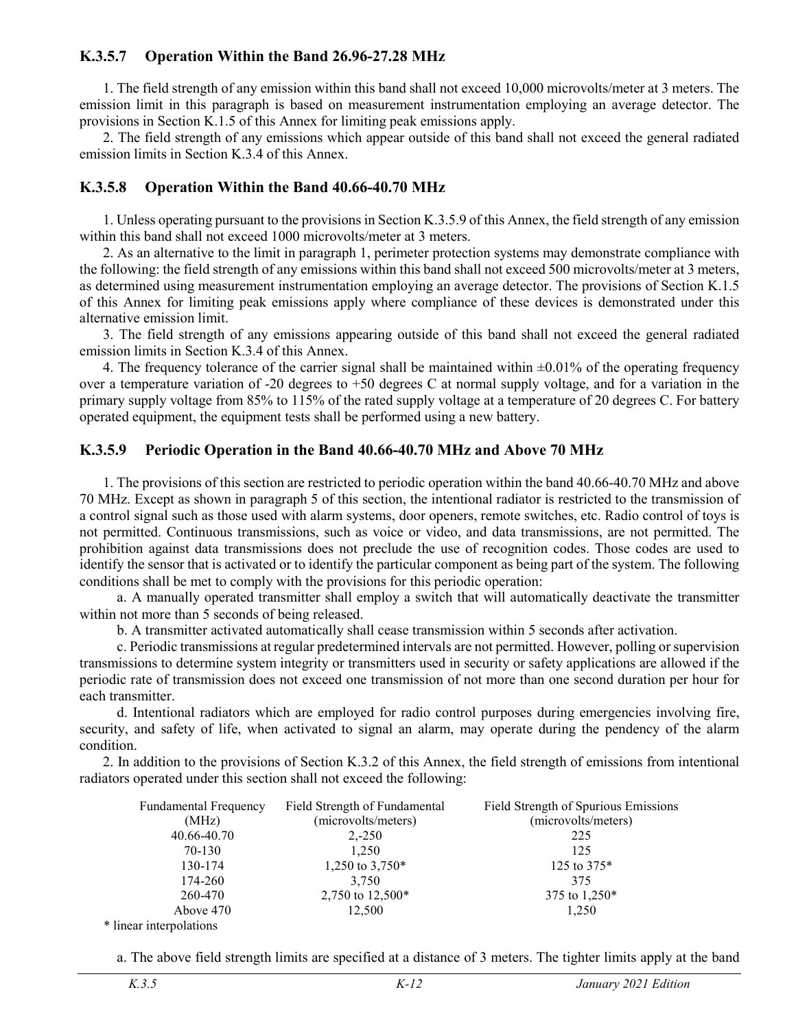## **K.3.5.7 Operation Within the Band 26.96-27.28 MHz**

1. The field strength of any emission within this band shall not exceed 10,000 microvolts/meter at 3 meters. The emission limit in this paragraph is based on measurement instrumentation employing an average detector. The provisions in Section K.1.5 of this Annex for limiting peak emissions apply.

2. The field strength of any emissions which appear outside of this band shall not exceed the general radiated emission limits in Section K.3.4 of this Annex.

#### **K.3.5.8 Operation Within the Band 40.66-40.70 MHz**

1. Unless operating pursuant to the provisions in Section K.3.5.9 of this Annex, the field strength of any emission within this band shall not exceed 1000 microvolts/meter at 3 meters.

2. As an alternative to the limit in paragraph 1, perimeter protection systems may demonstrate compliance with the following: the field strength of any emissions within this band shall not exceed 500 microvolts/meter at 3 meters, as determined using measurement instrumentation employing an average detector. The provisions of Section K.1.5 of this Annex for limiting peak emissions apply where compliance of these devices is demonstrated under this alternative emission limit.

3. The field strength of any emissions appearing outside of this band shall not exceed the general radiated emission limits in Section K.3.4 of this Annex.

4. The frequency tolerance of the carrier signal shall be maintained within  $\pm 0.01\%$  of the operating frequency over a temperature variation of -20 degrees to  $+50$  degrees C at normal supply voltage, and for a variation in the primary supply voltage from 85% to 115% of the rated supply voltage at a temperature of 20 degrees C. For battery operated equipment, the equipment tests shall be performed using a new battery.

#### **K.3.5.9 Periodic Operation in the Band 40.66-40.70 MHz and Above 70 MHz**

1. The provisions of this section are restricted to periodic operation within the band 40.66-40.70 MHz and above 70 MHz. Except as shown in paragraph 5 of this section, the intentional radiator is restricted to the transmission of a control signal such as those used with alarm systems, door openers, remote switches, etc. Radio control of toys is not permitted. Continuous transmissions, such as voice or video, and data transmissions, are not permitted. The prohibition against data transmissions does not preclude the use of recognition codes. Those codes are used to identify the sensor that is activated or to identify the particular component as being part of the system. The following conditions shall be met to comply with the provisions for this periodic operation:

a. A manually operated transmitter shall employ a switch that will automatically deactivate the transmitter within not more than 5 seconds of being released.

b. A transmitter activated automatically shall cease transmission within 5 seconds after activation.

c. Periodic transmissions at regular predetermined intervals are not permitted. However, polling or supervision transmissions to determine system integrity or transmitters used in security or safety applications are allowed if the periodic rate of transmission does not exceed one transmission of not more than one second duration per hour for each transmitter.

d. Intentional radiators which are employed for radio control purposes during emergencies involving fire, security, and safety of life, when activated to signal an alarm, may operate during the pendency of the alarm condition.

2. In addition to the provisions of Section K.3.2 of this Annex, the field strength of emissions from intentional radiators operated under this section shall not exceed the following:

| <b>Fundamental Frequency</b> | Field Strength of Fundamental | Field Strength of Spurious Emissions |
|------------------------------|-------------------------------|--------------------------------------|
| (MHz)                        | (microvolts/meters)           | (microvolts/meters)                  |
| 40.66-40.70                  | $2, -250$                     | 225                                  |
| 70-130                       | 1.250                         | 125                                  |
| 130-174                      | 1,250 to $3,750*$             | 125 to $375*$                        |
| 174-260                      | 3,750                         | 375                                  |
| 260-470                      | 2,750 to 12,500*              | 375 to $1,250*$                      |
| Above 470                    | 12,500                        | 1.250                                |
| * linear interpolations      |                               |                                      |

a. The above field strength limits are specified at a distance of 3 meters. The tighter limits apply at the band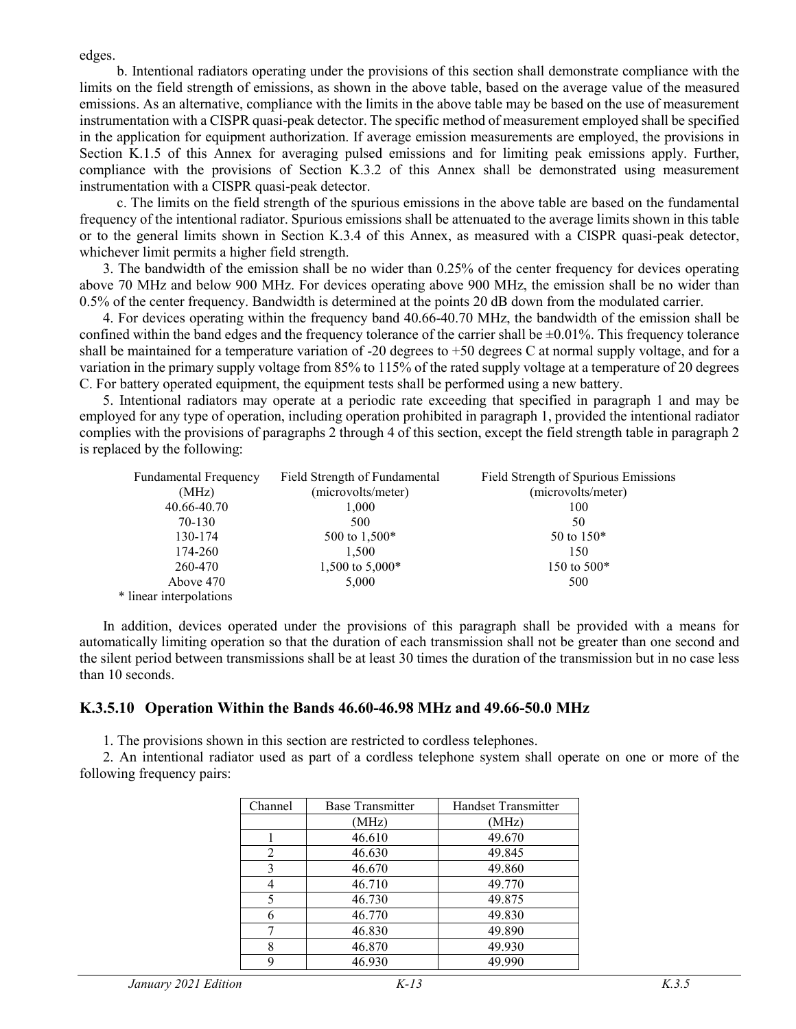edges.

b. Intentional radiators operating under the provisions of this section shall demonstrate compliance with the limits on the field strength of emissions, as shown in the above table, based on the average value of the measured emissions. As an alternative, compliance with the limits in the above table may be based on the use of measurement instrumentation with a CISPR quasi-peak detector. The specific method of measurement employed shall be specified in the application for equipment authorization. If average emission measurements are employed, the provisions in Section K.1.5 of this Annex for averaging pulsed emissions and for limiting peak emissions apply. Further, compliance with the provisions of Section K.3.2 of this Annex shall be demonstrated using measurement instrumentation with a CISPR quasi-peak detector.

c. The limits on the field strength of the spurious emissions in the above table are based on the fundamental frequency of the intentional radiator. Spurious emissions shall be attenuated to the average limits shown in this table or to the general limits shown in Section K.3.4 of this Annex, as measured with a CISPR quasi-peak detector, whichever limit permits a higher field strength.

3. The bandwidth of the emission shall be no wider than 0.25% of the center frequency for devices operating above 70 MHz and below 900 MHz. For devices operating above 900 MHz, the emission shall be no wider than 0.5% of the center frequency. Bandwidth is determined at the points 20 dB down from the modulated carrier.

4. For devices operating within the frequency band 40.66-40.70 MHz, the bandwidth of the emission shall be confined within the band edges and the frequency tolerance of the carrier shall be  $\pm 0.01\%$ . This frequency tolerance shall be maintained for a temperature variation of -20 degrees to +50 degrees C at normal supply voltage, and for a variation in the primary supply voltage from 85% to 115% of the rated supply voltage at a temperature of 20 degrees C. For battery operated equipment, the equipment tests shall be performed using a new battery.

5. Intentional radiators may operate at a periodic rate exceeding that specified in paragraph 1 and may be employed for any type of operation, including operation prohibited in paragraph 1, provided the intentional radiator complies with the provisions of paragraphs 2 through 4 of this section, except the field strength table in paragraph 2 is replaced by the following:

| <b>Fundamental Frequency</b> | Field Strength of Fundamental | Field Strength of Spurious Emissions |
|------------------------------|-------------------------------|--------------------------------------|
| (MHz)                        | (microvolts/meter)            | (microvolts/meter)                   |
| 40.66-40.70                  | 1,000                         | 100                                  |
| 70-130                       | 500                           | 50                                   |
| 130-174                      | 500 to $1,500*$               | 50 to $150*$                         |
| 174-260                      | 1,500                         | 150                                  |
| 260-470                      | 1,500 to $5,000*$             | 150 to $500*$                        |
| Above 470                    | 5,000                         | 500                                  |
| * linear interpolations      |                               |                                      |

In addition, devices operated under the provisions of this paragraph shall be provided with a means for automatically limiting operation so that the duration of each transmission shall not be greater than one second and the silent period between transmissions shall be at least 30 times the duration of the transmission but in no case less than 10 seconds.

### **K.3.5.10 Operation Within the Bands 46.60-46.98 MHz and 49.66-50.0 MHz**

1. The provisions shown in this section are restricted to cordless telephones.

2. An intentional radiator used as part of a cordless telephone system shall operate on one or more of the following frequency pairs:

| Channel        | <b>Base Transmitter</b> | Handset Transmitter |
|----------------|-------------------------|---------------------|
|                | (MHz)                   | (MHz)               |
|                | 46.610                  | 49.670              |
| $\overline{2}$ | 46.630                  | 49.845              |
| 3              | 46.670                  | 49.860              |
|                | 46.710                  | 49.770              |
| 5              | 46.730                  | 49.875              |
|                | 46.770                  | 49.830              |
|                | 46.830                  | 49.890              |
| 8              | 46.870                  | 49.930              |
|                | 46.930                  | 49.990              |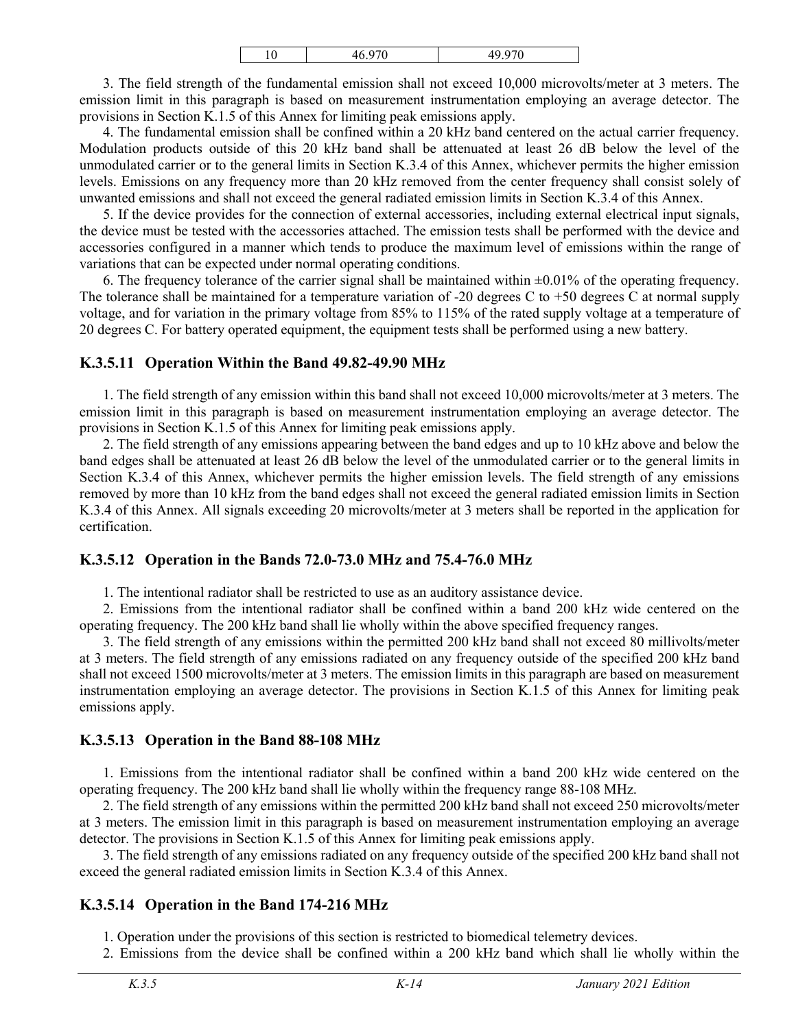| 1 U<br>__ |  |  |
|-----------|--|--|
|           |  |  |

3. The field strength of the fundamental emission shall not exceed 10,000 microvolts/meter at 3 meters. The emission limit in this paragraph is based on measurement instrumentation employing an average detector. The provisions in Section K.1.5 of this Annex for limiting peak emissions apply.

4. The fundamental emission shall be confined within a 20 kHz band centered on the actual carrier frequency. Modulation products outside of this 20 kHz band shall be attenuated at least 26 dB below the level of the unmodulated carrier or to the general limits in Section K.3.4 of this Annex, whichever permits the higher emission levels. Emissions on any frequency more than 20 kHz removed from the center frequency shall consist solely of unwanted emissions and shall not exceed the general radiated emission limits in Section K.3.4 of this Annex.

5. If the device provides for the connection of external accessories, including external electrical input signals, the device must be tested with the accessories attached. The emission tests shall be performed with the device and accessories configured in a manner which tends to produce the maximum level of emissions within the range of variations that can be expected under normal operating conditions.

6. The frequency tolerance of the carrier signal shall be maintained within  $\pm 0.01\%$  of the operating frequency. The tolerance shall be maintained for a temperature variation of -20 degrees C to  $+50$  degrees C at normal supply voltage, and for variation in the primary voltage from 85% to 115% of the rated supply voltage at a temperature of 20 degrees C. For battery operated equipment, the equipment tests shall be performed using a new battery.

### **K.3.5.11 Operation Within the Band 49.82-49.90 MHz**

1. The field strength of any emission within this band shall not exceed 10,000 microvolts/meter at 3 meters. The emission limit in this paragraph is based on measurement instrumentation employing an average detector. The provisions in Section K.1.5 of this Annex for limiting peak emissions apply.

2. The field strength of any emissions appearing between the band edges and up to 10 kHz above and below the band edges shall be attenuated at least 26 dB below the level of the unmodulated carrier or to the general limits in Section K.3.4 of this Annex, whichever permits the higher emission levels. The field strength of any emissions removed by more than 10 kHz from the band edges shall not exceed the general radiated emission limits in Section K.3.4 of this Annex. All signals exceeding 20 microvolts/meter at 3 meters shall be reported in the application for certification.

### **K.3.5.12 Operation in the Bands 72.0-73.0 MHz and 75.4-76.0 MHz**

1. The intentional radiator shall be restricted to use as an auditory assistance device.

2. Emissions from the intentional radiator shall be confined within a band 200 kHz wide centered on the operating frequency. The 200 kHz band shall lie wholly within the above specified frequency ranges.

3. The field strength of any emissions within the permitted 200 kHz band shall not exceed 80 millivolts/meter at 3 meters. The field strength of any emissions radiated on any frequency outside of the specified 200 kHz band shall not exceed 1500 microvolts/meter at 3 meters. The emission limits in this paragraph are based on measurement instrumentation employing an average detector. The provisions in Section K.1.5 of this Annex for limiting peak emissions apply.

### **K.3.5.13 Operation in the Band 88-108 MHz**

1. Emissions from the intentional radiator shall be confined within a band 200 kHz wide centered on the operating frequency. The 200 kHz band shall lie wholly within the frequency range 88-108 MHz.

2. The field strength of any emissions within the permitted 200 kHz band shall not exceed 250 microvolts/meter at 3 meters. The emission limit in this paragraph is based on measurement instrumentation employing an average detector. The provisions in Section K.1.5 of this Annex for limiting peak emissions apply.

3. The field strength of any emissions radiated on any frequency outside of the specified 200 kHz band shall not exceed the general radiated emission limits in Section K.3.4 of this Annex.

### **K.3.5.14 Operation in the Band 174-216 MHz**

1. Operation under the provisions of this section is restricted to biomedical telemetry devices.

2. Emissions from the device shall be confined within a 200 kHz band which shall lie wholly within the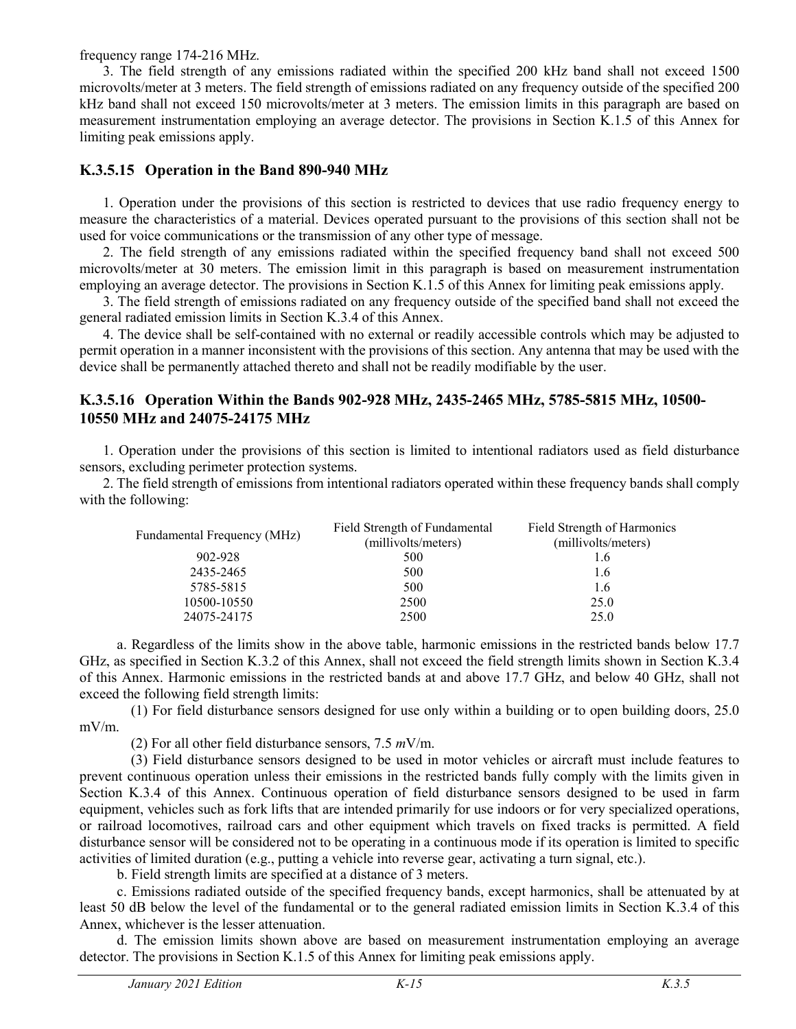frequency range 174-216 MHz.

3. The field strength of any emissions radiated within the specified 200 kHz band shall not exceed 1500 microvolts/meter at 3 meters. The field strength of emissions radiated on any frequency outside of the specified 200 kHz band shall not exceed 150 microvolts/meter at 3 meters. The emission limits in this paragraph are based on measurement instrumentation employing an average detector. The provisions in Section K.1.5 of this Annex for limiting peak emissions apply.

### **K.3.5.15 Operation in the Band 890-940 MHz**

1. Operation under the provisions of this section is restricted to devices that use radio frequency energy to measure the characteristics of a material. Devices operated pursuant to the provisions of this section shall not be used for voice communications or the transmission of any other type of message.

2. The field strength of any emissions radiated within the specified frequency band shall not exceed 500 microvolts/meter at 30 meters. The emission limit in this paragraph is based on measurement instrumentation employing an average detector. The provisions in Section K.1.5 of this Annex for limiting peak emissions apply.

3. The field strength of emissions radiated on any frequency outside of the specified band shall not exceed the general radiated emission limits in Section K.3.4 of this Annex.

4. The device shall be self-contained with no external or readily accessible controls which may be adjusted to permit operation in a manner inconsistent with the provisions of this section. Any antenna that may be used with the device shall be permanently attached thereto and shall not be readily modifiable by the user.

### **K.3.5.16 Operation Within the Bands 902-928 MHz, 2435-2465 MHz, 5785-5815 MHz, 10500- 10550 MHz and 24075-24175 MHz**

1. Operation under the provisions of this section is limited to intentional radiators used as field disturbance sensors, excluding perimeter protection systems.

2. The field strength of emissions from intentional radiators operated within these frequency bands shall comply with the following:

| Fundamental Frequency (MHz) | Field Strength of Fundamental<br>(millivolts/meters) | Field Strength of Harmonics<br>(millivolts/meters) |
|-----------------------------|------------------------------------------------------|----------------------------------------------------|
| 902-928                     | 500                                                  | 1.6                                                |
| 2435-2465                   | 500                                                  | 1.6                                                |
| 5785-5815                   | 500                                                  | 1.6                                                |
| 10500-10550                 | 2500                                                 | 25.0                                               |
| 24075-24175                 | 2500                                                 | 25.0                                               |
|                             |                                                      |                                                    |

a. Regardless of the limits show in the above table, harmonic emissions in the restricted bands below 17.7 GHz, as specified in Section K.3.2 of this Annex, shall not exceed the field strength limits shown in Section K.3.4 of this Annex. Harmonic emissions in the restricted bands at and above 17.7 GHz, and below 40 GHz, shall not exceed the following field strength limits:

(1) For field disturbance sensors designed for use only within a building or to open building doors, 25.0 mV/m.

(2) For all other field disturbance sensors, 7.5 *m*V/m.

(3) Field disturbance sensors designed to be used in motor vehicles or aircraft must include features to prevent continuous operation unless their emissions in the restricted bands fully comply with the limits given in Section K.3.4 of this Annex. Continuous operation of field disturbance sensors designed to be used in farm equipment, vehicles such as fork lifts that are intended primarily for use indoors or for very specialized operations, or railroad locomotives, railroad cars and other equipment which travels on fixed tracks is permitted. A field disturbance sensor will be considered not to be operating in a continuous mode if its operation is limited to specific activities of limited duration (e.g., putting a vehicle into reverse gear, activating a turn signal, etc.).

b. Field strength limits are specified at a distance of 3 meters.

c. Emissions radiated outside of the specified frequency bands, except harmonics, shall be attenuated by at least 50 dB below the level of the fundamental or to the general radiated emission limits in Section K.3.4 of this Annex, whichever is the lesser attenuation.

d. The emission limits shown above are based on measurement instrumentation employing an average detector. The provisions in Section K.1.5 of this Annex for limiting peak emissions apply.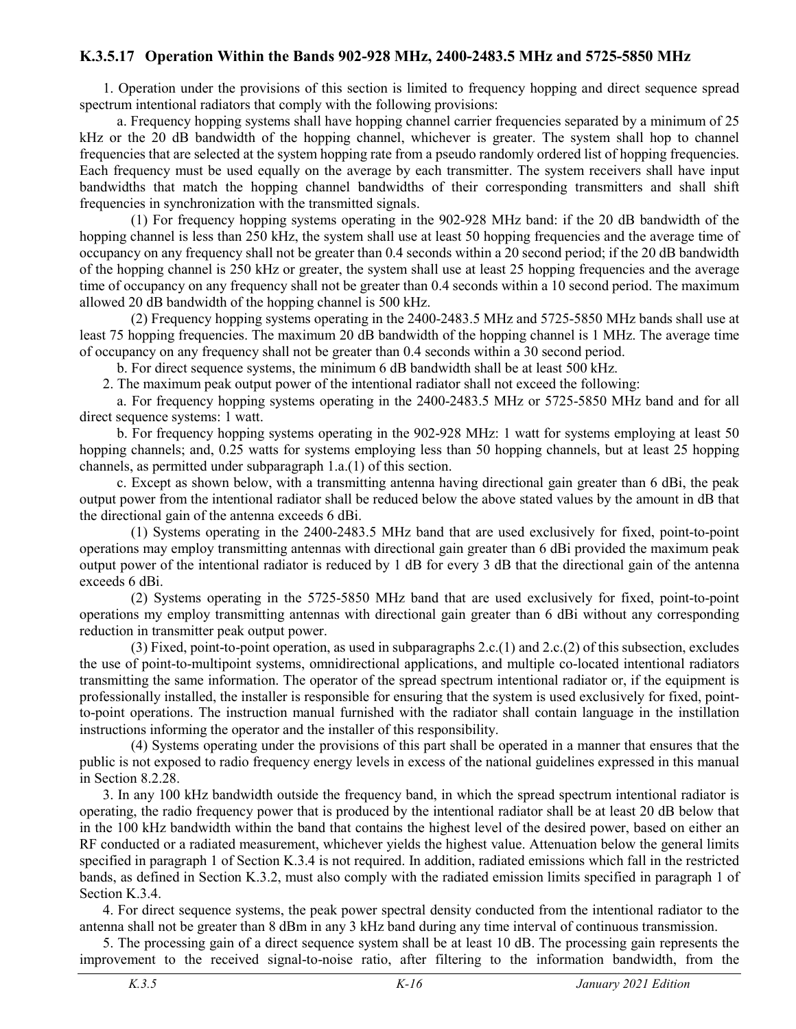# **K.3.5.17 Operation Within the Bands 902-928 MHz, 2400-2483.5 MHz and 5725-5850 MHz**

1. Operation under the provisions of this section is limited to frequency hopping and direct sequence spread spectrum intentional radiators that comply with the following provisions:

a. Frequency hopping systems shall have hopping channel carrier frequencies separated by a minimum of 25 kHz or the 20 dB bandwidth of the hopping channel, whichever is greater. The system shall hop to channel frequencies that are selected at the system hopping rate from a pseudo randomly ordered list of hopping frequencies. Each frequency must be used equally on the average by each transmitter. The system receivers shall have input bandwidths that match the hopping channel bandwidths of their corresponding transmitters and shall shift frequencies in synchronization with the transmitted signals.

(1) For frequency hopping systems operating in the 902-928 MHz band: if the 20 dB bandwidth of the hopping channel is less than 250 kHz, the system shall use at least 50 hopping frequencies and the average time of occupancy on any frequency shall not be greater than 0.4 seconds within a 20 second period; if the 20 dB bandwidth of the hopping channel is 250 kHz or greater, the system shall use at least 25 hopping frequencies and the average time of occupancy on any frequency shall not be greater than 0.4 seconds within a 10 second period. The maximum allowed 20 dB bandwidth of the hopping channel is 500 kHz.

(2) Frequency hopping systems operating in the 2400-2483.5 MHz and 5725-5850 MHz bands shall use at least 75 hopping frequencies. The maximum 20 dB bandwidth of the hopping channel is 1 MHz. The average time of occupancy on any frequency shall not be greater than 0.4 seconds within a 30 second period.

b. For direct sequence systems, the minimum 6 dB bandwidth shall be at least 500 kHz.

2. The maximum peak output power of the intentional radiator shall not exceed the following:

a. For frequency hopping systems operating in the 2400-2483.5 MHz or 5725-5850 MHz band and for all direct sequence systems: 1 watt.

b. For frequency hopping systems operating in the 902-928 MHz: 1 watt for systems employing at least 50 hopping channels; and, 0.25 watts for systems employing less than 50 hopping channels, but at least 25 hopping channels, as permitted under subparagraph 1.a.(1) of this section.

c. Except as shown below, with a transmitting antenna having directional gain greater than 6 dBi, the peak output power from the intentional radiator shall be reduced below the above stated values by the amount in dB that the directional gain of the antenna exceeds 6 dBi.

(1) Systems operating in the 2400-2483.5 MHz band that are used exclusively for fixed, point-to-point operations may employ transmitting antennas with directional gain greater than 6 dBi provided the maximum peak output power of the intentional radiator is reduced by 1 dB for every 3 dB that the directional gain of the antenna exceeds 6 dBi.

(2) Systems operating in the 5725-5850 MHz band that are used exclusively for fixed, point-to-point operations my employ transmitting antennas with directional gain greater than 6 dBi without any corresponding reduction in transmitter peak output power.

(3) Fixed, point-to-point operation, as used in subparagraphs 2.c.(1) and 2.c.(2) of this subsection, excludes the use of point-to-multipoint systems, omnidirectional applications, and multiple co-located intentional radiators transmitting the same information. The operator of the spread spectrum intentional radiator or, if the equipment is professionally installed, the installer is responsible for ensuring that the system is used exclusively for fixed, pointto-point operations. The instruction manual furnished with the radiator shall contain language in the instillation instructions informing the operator and the installer of this responsibility.

(4) Systems operating under the provisions of this part shall be operated in a manner that ensures that the public is not exposed to radio frequency energy levels in excess of the national guidelines expressed in this manual in Section 8.2.28.

3. In any 100 kHz bandwidth outside the frequency band, in which the spread spectrum intentional radiator is operating, the radio frequency power that is produced by the intentional radiator shall be at least 20 dB below that in the 100 kHz bandwidth within the band that contains the highest level of the desired power, based on either an RF conducted or a radiated measurement, whichever yields the highest value. Attenuation below the general limits specified in paragraph 1 of Section K.3.4 is not required. In addition, radiated emissions which fall in the restricted bands, as defined in Section K.3.2, must also comply with the radiated emission limits specified in paragraph 1 of Section K.3.4.

4. For direct sequence systems, the peak power spectral density conducted from the intentional radiator to the antenna shall not be greater than 8 dBm in any 3 kHz band during any time interval of continuous transmission.

5. The processing gain of a direct sequence system shall be at least 10 dB. The processing gain represents the improvement to the received signal-to-noise ratio, after filtering to the information bandwidth, from the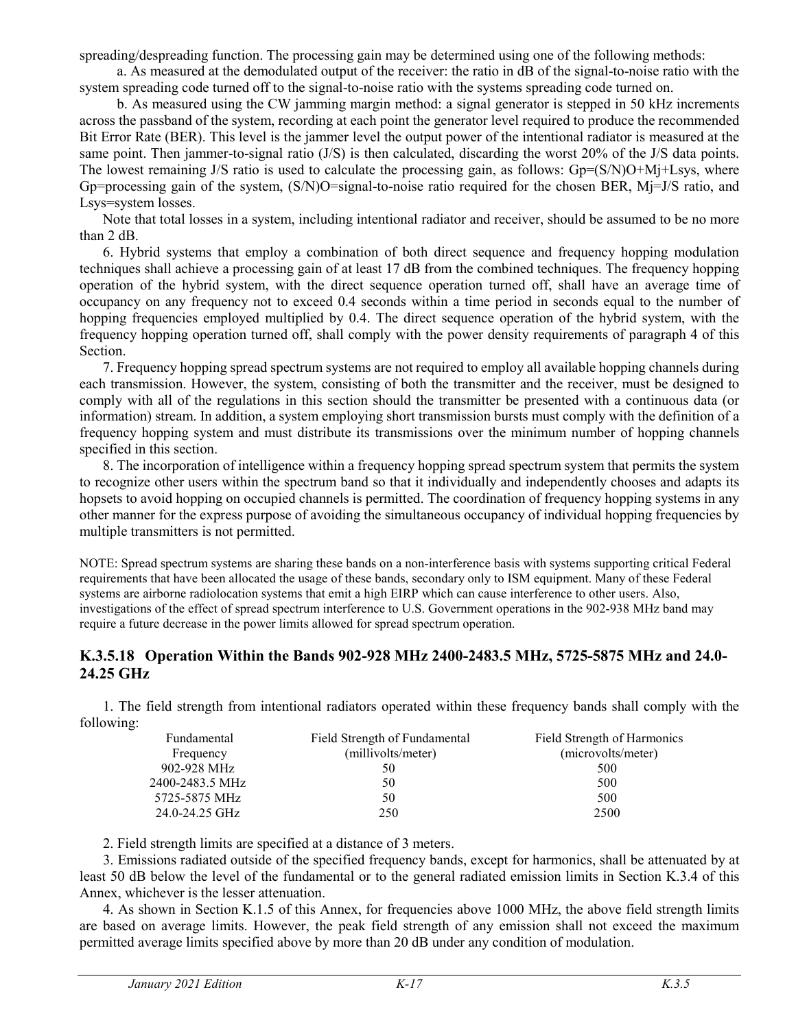spreading/despreading function. The processing gain may be determined using one of the following methods:

a. As measured at the demodulated output of the receiver: the ratio in dB of the signal-to-noise ratio with the system spreading code turned off to the signal-to-noise ratio with the systems spreading code turned on.

b. As measured using the CW jamming margin method: a signal generator is stepped in 50 kHz increments across the passband of the system, recording at each point the generator level required to produce the recommended Bit Error Rate (BER). This level is the jammer level the output power of the intentional radiator is measured at the same point. Then jammer-to-signal ratio (J/S) is then calculated, discarding the worst 20% of the J/S data points. The lowest remaining J/S ratio is used to calculate the processing gain, as follows:  $Gp=(S/N)O+Mj+Lsys$ , where Gp=processing gain of the system, (S/N)O=signal-to-noise ratio required for the chosen BER, Mj=J/S ratio, and Lsys=system losses.

Note that total losses in a system, including intentional radiator and receiver, should be assumed to be no more than 2 dB.

6. Hybrid systems that employ a combination of both direct sequence and frequency hopping modulation techniques shall achieve a processing gain of at least 17 dB from the combined techniques. The frequency hopping operation of the hybrid system, with the direct sequence operation turned off, shall have an average time of occupancy on any frequency not to exceed 0.4 seconds within a time period in seconds equal to the number of hopping frequencies employed multiplied by 0.4. The direct sequence operation of the hybrid system, with the frequency hopping operation turned off, shall comply with the power density requirements of paragraph 4 of this Section.

7. Frequency hopping spread spectrum systems are not required to employ all available hopping channels during each transmission. However, the system, consisting of both the transmitter and the receiver, must be designed to comply with all of the regulations in this section should the transmitter be presented with a continuous data (or information) stream. In addition, a system employing short transmission bursts must comply with the definition of a frequency hopping system and must distribute its transmissions over the minimum number of hopping channels specified in this section.

8. The incorporation of intelligence within a frequency hopping spread spectrum system that permits the system to recognize other users within the spectrum band so that it individually and independently chooses and adapts its hopsets to avoid hopping on occupied channels is permitted. The coordination of frequency hopping systems in any other manner for the express purpose of avoiding the simultaneous occupancy of individual hopping frequencies by multiple transmitters is not permitted.

NOTE: Spread spectrum systems are sharing these bands on a non-interference basis with systems supporting critical Federal requirements that have been allocated the usage of these bands, secondary only to ISM equipment. Many of these Federal systems are airborne radiolocation systems that emit a high EIRP which can cause interference to other users. Also, investigations of the effect of spread spectrum interference to U.S. Government operations in the 902-938 MHz band may require a future decrease in the power limits allowed for spread spectrum operation.

# **K.3.5.18 Operation Within the Bands 902-928 MHz 2400-2483.5 MHz, 5725-5875 MHz and 24.0- 24.25 GHz**

1. The field strength from intentional radiators operated within these frequency bands shall comply with the following:

| Fundamental     | Field Strength of Fundamental | Field Strength of Harmonics |
|-----------------|-------------------------------|-----------------------------|
| Frequency       | (millivolts/meter)            | (microvolts/meter)          |
| 902-928 MHz     | 50                            | 500                         |
| 2400-2483.5 MHz | 50                            | 500                         |
| 5725-5875 MHz   | 50                            | 500                         |
| 24.0-24.25 GHz  | 250                           | 2500                        |

2. Field strength limits are specified at a distance of 3 meters.

3. Emissions radiated outside of the specified frequency bands, except for harmonics, shall be attenuated by at least 50 dB below the level of the fundamental or to the general radiated emission limits in Section K.3.4 of this Annex, whichever is the lesser attenuation.

4. As shown in Section K.1.5 of this Annex, for frequencies above 1000 MHz, the above field strength limits are based on average limits. However, the peak field strength of any emission shall not exceed the maximum permitted average limits specified above by more than 20 dB under any condition of modulation.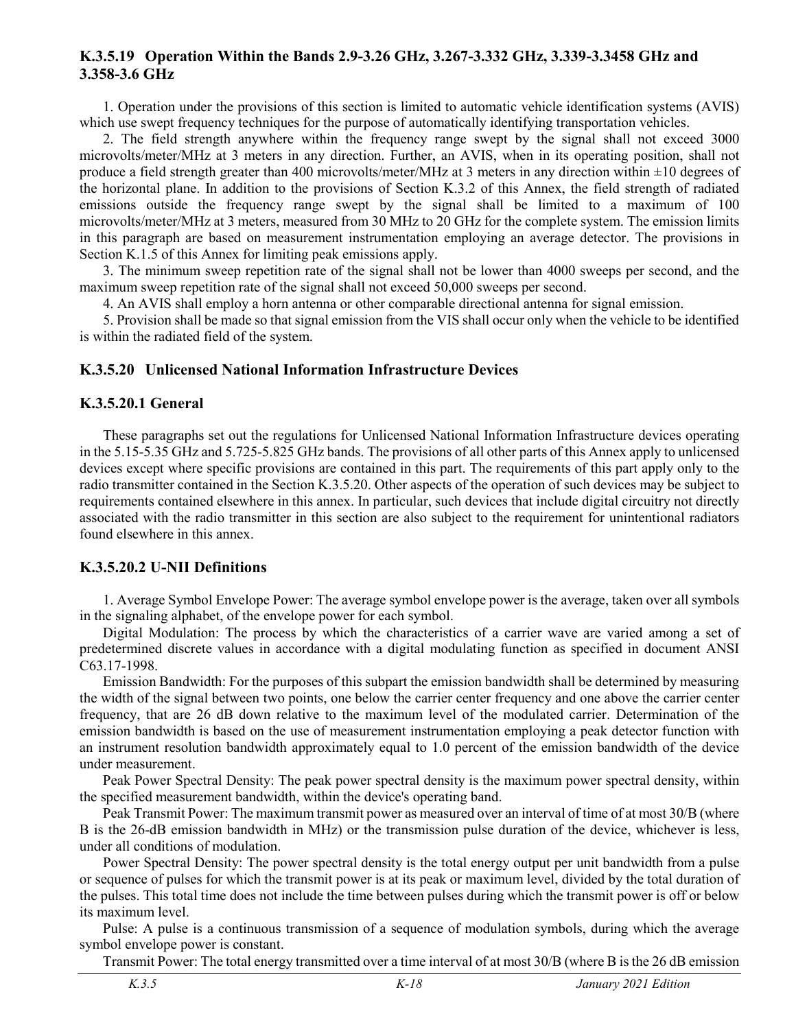### **K.3.5.19 Operation Within the Bands 2.9-3.26 GHz, 3.267-3.332 GHz, 3.339-3.3458 GHz and 3.358-3.6 GHz**

1. Operation under the provisions of this section is limited to automatic vehicle identification systems (AVIS) which use swept frequency techniques for the purpose of automatically identifying transportation vehicles.

2. The field strength anywhere within the frequency range swept by the signal shall not exceed 3000 microvolts/meter/MHz at 3 meters in any direction. Further, an AVIS, when in its operating position, shall not produce a field strength greater than 400 microvolts/meter/MHz at 3 meters in any direction within  $\pm 10$  degrees of the horizontal plane. In addition to the provisions of Section K.3.2 of this Annex, the field strength of radiated emissions outside the frequency range swept by the signal shall be limited to a maximum of 100 microvolts/meter/MHz at 3 meters, measured from 30 MHz to 20 GHz for the complete system. The emission limits in this paragraph are based on measurement instrumentation employing an average detector. The provisions in Section K.1.5 of this Annex for limiting peak emissions apply.

3. The minimum sweep repetition rate of the signal shall not be lower than 4000 sweeps per second, and the maximum sweep repetition rate of the signal shall not exceed 50,000 sweeps per second.

4. An AVIS shall employ a horn antenna or other comparable directional antenna for signal emission.

5. Provision shall be made so that signal emission from the VIS shall occur only when the vehicle to be identified is within the radiated field of the system.

#### **K.3.5.20 Unlicensed National Information Infrastructure Devices**

#### **K.3.5.20.1 General**

These paragraphs set out the regulations for Unlicensed National Information Infrastructure devices operating in the 5.15-5.35 GHz and 5.725-5.825 GHz bands. The provisions of all other parts of this Annex apply to unlicensed devices except where specific provisions are contained in this part. The requirements of this part apply only to the radio transmitter contained in the Section K.3.5.20. Other aspects of the operation of such devices may be subject to requirements contained elsewhere in this annex. In particular, such devices that include digital circuitry not directly associated with the radio transmitter in this section are also subject to the requirement for unintentional radiators found elsewhere in this annex.

### **K.3.5.20.2 U-NII Definitions**

1. Average Symbol Envelope Power: The average symbol envelope power is the average, taken over all symbols in the signaling alphabet, of the envelope power for each symbol.

Digital Modulation: The process by which the characteristics of a carrier wave are varied among a set of predetermined discrete values in accordance with a digital modulating function as specified in document ANSI C63.17-1998.

Emission Bandwidth: For the purposes of this subpart the emission bandwidth shall be determined by measuring the width of the signal between two points, one below the carrier center frequency and one above the carrier center frequency, that are 26 dB down relative to the maximum level of the modulated carrier. Determination of the emission bandwidth is based on the use of measurement instrumentation employing a peak detector function with an instrument resolution bandwidth approximately equal to 1.0 percent of the emission bandwidth of the device under measurement.

Peak Power Spectral Density: The peak power spectral density is the maximum power spectral density, within the specified measurement bandwidth, within the device's operating band.

Peak Transmit Power: The maximum transmit power as measured over an interval of time of at most 30/B (where B is the 26-dB emission bandwidth in MHz) or the transmission pulse duration of the device, whichever is less, under all conditions of modulation.

Power Spectral Density: The power spectral density is the total energy output per unit bandwidth from a pulse or sequence of pulses for which the transmit power is at its peak or maximum level, divided by the total duration of the pulses. This total time does not include the time between pulses during which the transmit power is off or below its maximum level.

Pulse: A pulse is a continuous transmission of a sequence of modulation symbols, during which the average symbol envelope power is constant.

Transmit Power: The total energy transmitted over a time interval of at most 30/B (where B is the 26 dB emission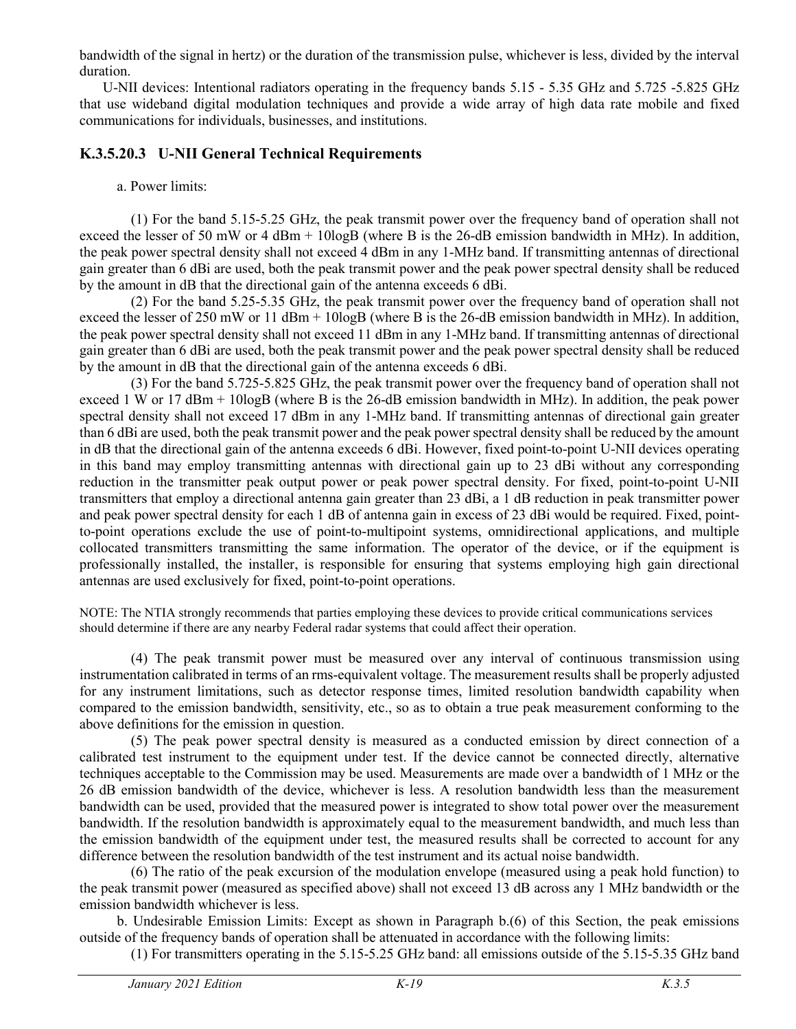bandwidth of the signal in hertz) or the duration of the transmission pulse, whichever is less, divided by the interval duration.

U-NII devices: Intentional radiators operating in the frequency bands 5.15 - 5.35 GHz and 5.725 -5.825 GHz that use wideband digital modulation techniques and provide a wide array of high data rate mobile and fixed communications for individuals, businesses, and institutions.

# **K.3.5.20.3 U-NII General Technical Requirements**

#### a. Power limits:

(1) For the band 5.15-5.25 GHz, the peak transmit power over the frequency band of operation shall not exceed the lesser of 50 mW or 4 dBm + 10logB (where B is the 26-dB emission bandwidth in MHz). In addition, the peak power spectral density shall not exceed 4 dBm in any 1-MHz band. If transmitting antennas of directional gain greater than 6 dBi are used, both the peak transmit power and the peak power spectral density shall be reduced by the amount in dB that the directional gain of the antenna exceeds 6 dBi.

(2) For the band 5.25-5.35 GHz, the peak transmit power over the frequency band of operation shall not exceed the lesser of 250 mW or 11 dBm + 10logB (where B is the 26-dB emission bandwidth in MHz). In addition, the peak power spectral density shall not exceed 11 dBm in any 1-MHz band. If transmitting antennas of directional gain greater than 6 dBi are used, both the peak transmit power and the peak power spectral density shall be reduced by the amount in dB that the directional gain of the antenna exceeds 6 dBi.

(3) For the band 5.725-5.825 GHz, the peak transmit power over the frequency band of operation shall not exceed 1 W or 17 dBm + 10logB (where B is the 26-dB emission bandwidth in MHz). In addition, the peak power spectral density shall not exceed 17 dBm in any 1-MHz band. If transmitting antennas of directional gain greater than 6 dBi are used, both the peak transmit power and the peak power spectral density shall be reduced by the amount in dB that the directional gain of the antenna exceeds 6 dBi. However, fixed point-to-point U-NII devices operating in this band may employ transmitting antennas with directional gain up to 23 dBi without any corresponding reduction in the transmitter peak output power or peak power spectral density. For fixed, point-to-point U-NII transmitters that employ a directional antenna gain greater than 23 dBi, a 1 dB reduction in peak transmitter power and peak power spectral density for each 1 dB of antenna gain in excess of 23 dBi would be required. Fixed, pointto-point operations exclude the use of point-to-multipoint systems, omnidirectional applications, and multiple collocated transmitters transmitting the same information. The operator of the device, or if the equipment is professionally installed, the installer, is responsible for ensuring that systems employing high gain directional antennas are used exclusively for fixed, point-to-point operations.

NOTE: The NTIA strongly recommends that parties employing these devices to provide critical communications services should determine if there are any nearby Federal radar systems that could affect their operation.

(4) The peak transmit power must be measured over any interval of continuous transmission using instrumentation calibrated in terms of an rms-equivalent voltage. The measurement results shall be properly adjusted for any instrument limitations, such as detector response times, limited resolution bandwidth capability when compared to the emission bandwidth, sensitivity, etc., so as to obtain a true peak measurement conforming to the above definitions for the emission in question.

(5) The peak power spectral density is measured as a conducted emission by direct connection of a calibrated test instrument to the equipment under test. If the device cannot be connected directly, alternative techniques acceptable to the Commission may be used. Measurements are made over a bandwidth of 1 MHz or the 26 dB emission bandwidth of the device, whichever is less. A resolution bandwidth less than the measurement bandwidth can be used, provided that the measured power is integrated to show total power over the measurement bandwidth. If the resolution bandwidth is approximately equal to the measurement bandwidth, and much less than the emission bandwidth of the equipment under test, the measured results shall be corrected to account for any difference between the resolution bandwidth of the test instrument and its actual noise bandwidth.

(6) The ratio of the peak excursion of the modulation envelope (measured using a peak hold function) to the peak transmit power (measured as specified above) shall not exceed 13 dB across any 1 MHz bandwidth or the emission bandwidth whichever is less.

b. Undesirable Emission Limits: Except as shown in Paragraph b.(6) of this Section, the peak emissions outside of the frequency bands of operation shall be attenuated in accordance with the following limits:

(1) For transmitters operating in the 5.15-5.25 GHz band: all emissions outside of the 5.15-5.35 GHz band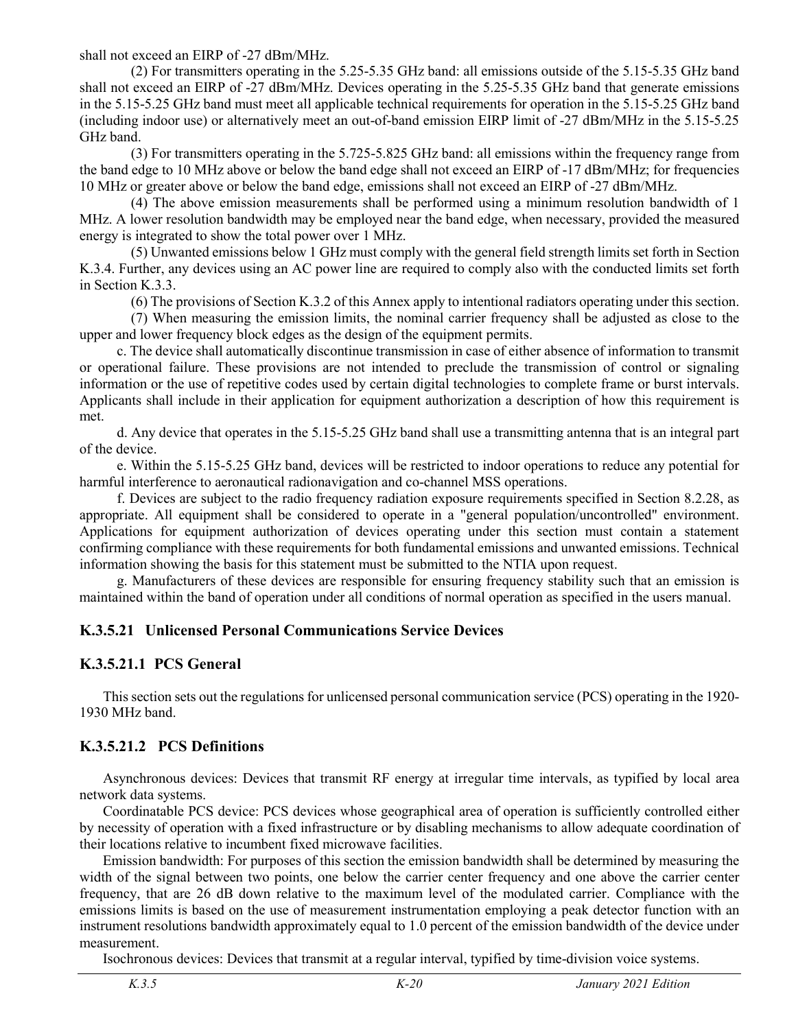shall not exceed an EIRP of -27 dBm/MHz.

(2) For transmitters operating in the 5.25-5.35 GHz band: all emissions outside of the 5.15-5.35 GHz band shall not exceed an EIRP of -27 dBm/MHz. Devices operating in the 5.25-5.35 GHz band that generate emissions in the 5.15-5.25 GHz band must meet all applicable technical requirements for operation in the 5.15-5.25 GHz band (including indoor use) or alternatively meet an out-of-band emission EIRP limit of -27 dBm/MHz in the 5.15-5.25 GHz band.

(3) For transmitters operating in the 5.725-5.825 GHz band: all emissions within the frequency range from the band edge to 10 MHz above or below the band edge shall not exceed an EIRP of -17 dBm/MHz; for frequencies 10 MHz or greater above or below the band edge, emissions shall not exceed an EIRP of -27 dBm/MHz.

(4) The above emission measurements shall be performed using a minimum resolution bandwidth of 1 MHz. A lower resolution bandwidth may be employed near the band edge, when necessary, provided the measured energy is integrated to show the total power over 1 MHz.

(5) Unwanted emissions below 1 GHz must comply with the general field strength limits set forth in Section K.3.4. Further, any devices using an AC power line are required to comply also with the conducted limits set forth in Section K.3.3.

(6) The provisions of Section K.3.2 of this Annex apply to intentional radiators operating under this section.

(7) When measuring the emission limits, the nominal carrier frequency shall be adjusted as close to the upper and lower frequency block edges as the design of the equipment permits.

c. The device shall automatically discontinue transmission in case of either absence of information to transmit or operational failure. These provisions are not intended to preclude the transmission of control or signaling information or the use of repetitive codes used by certain digital technologies to complete frame or burst intervals. Applicants shall include in their application for equipment authorization a description of how this requirement is met.

d. Any device that operates in the 5.15-5.25 GHz band shall use a transmitting antenna that is an integral part of the device.

e. Within the 5.15-5.25 GHz band, devices will be restricted to indoor operations to reduce any potential for harmful interference to aeronautical radionavigation and co-channel MSS operations.

f. Devices are subject to the radio frequency radiation exposure requirements specified in Section 8.2.28, as appropriate. All equipment shall be considered to operate in a "general population/uncontrolled" environment. Applications for equipment authorization of devices operating under this section must contain a statement confirming compliance with these requirements for both fundamental emissions and unwanted emissions. Technical information showing the basis for this statement must be submitted to the NTIA upon request.

g. Manufacturers of these devices are responsible for ensuring frequency stability such that an emission is maintained within the band of operation under all conditions of normal operation as specified in the users manual.

## **K.3.5.21 Unlicensed Personal Communications Service Devices**

### **K.3.5.21.1 PCS General**

This section sets out the regulations for unlicensed personal communication service (PCS) operating in the 1920- 1930 MHz band.

# **K.3.5.21.2 PCS Definitions**

Asynchronous devices: Devices that transmit RF energy at irregular time intervals, as typified by local area network data systems.

Coordinatable PCS device: PCS devices whose geographical area of operation is sufficiently controlled either by necessity of operation with a fixed infrastructure or by disabling mechanisms to allow adequate coordination of their locations relative to incumbent fixed microwave facilities.

Emission bandwidth: For purposes of this section the emission bandwidth shall be determined by measuring the width of the signal between two points, one below the carrier center frequency and one above the carrier center frequency, that are 26 dB down relative to the maximum level of the modulated carrier. Compliance with the emissions limits is based on the use of measurement instrumentation employing a peak detector function with an instrument resolutions bandwidth approximately equal to 1.0 percent of the emission bandwidth of the device under measurement.

Isochronous devices: Devices that transmit at a regular interval, typified by time-division voice systems.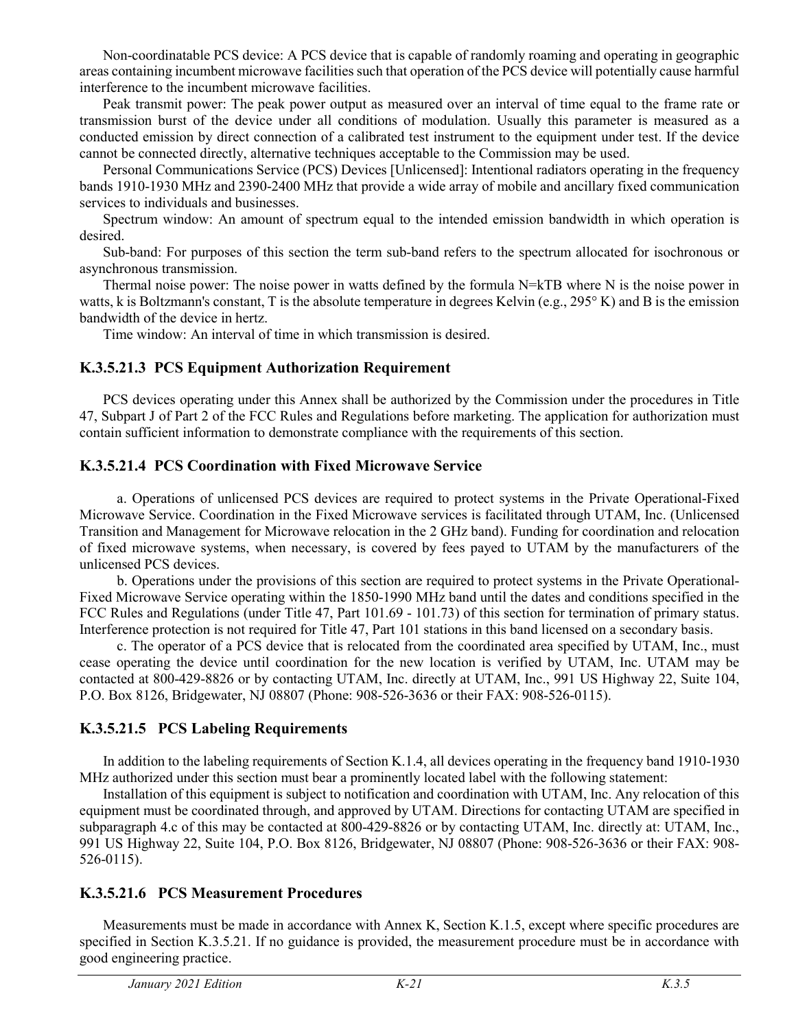Non-coordinatable PCS device: A PCS device that is capable of randomly roaming and operating in geographic areas containing incumbent microwave facilities such that operation of the PCS device will potentially cause harmful interference to the incumbent microwave facilities.

Peak transmit power: The peak power output as measured over an interval of time equal to the frame rate or transmission burst of the device under all conditions of modulation. Usually this parameter is measured as a conducted emission by direct connection of a calibrated test instrument to the equipment under test. If the device cannot be connected directly, alternative techniques acceptable to the Commission may be used.

Personal Communications Service (PCS) Devices [Unlicensed]: Intentional radiators operating in the frequency bands 1910-1930 MHz and 2390-2400 MHz that provide a wide array of mobile and ancillary fixed communication services to individuals and businesses.

Spectrum window: An amount of spectrum equal to the intended emission bandwidth in which operation is desired.

Sub-band: For purposes of this section the term sub-band refers to the spectrum allocated for isochronous or asynchronous transmission.

Thermal noise power: The noise power in watts defined by the formula N=kTB where N is the noise power in watts, k is Boltzmann's constant, T is the absolute temperature in degrees Kelvin (e.g., 295° K) and B is the emission bandwidth of the device in hertz.

Time window: An interval of time in which transmission is desired.

### **K.3.5.21.3 PCS Equipment Authorization Requirement**

PCS devices operating under this Annex shall be authorized by the Commission under the procedures in Title 47, Subpart J of Part 2 of the FCC Rules and Regulations before marketing. The application for authorization must contain sufficient information to demonstrate compliance with the requirements of this section.

### **K.3.5.21.4 PCS Coordination with Fixed Microwave Service**

a. Operations of unlicensed PCS devices are required to protect systems in the Private Operational-Fixed Microwave Service. Coordination in the Fixed Microwave services is facilitated through UTAM, Inc. (Unlicensed Transition and Management for Microwave relocation in the 2 GHz band). Funding for coordination and relocation of fixed microwave systems, when necessary, is covered by fees payed to UTAM by the manufacturers of the unlicensed PCS devices.

b. Operations under the provisions of this section are required to protect systems in the Private Operational-Fixed Microwave Service operating within the 1850-1990 MHz band until the dates and conditions specified in the FCC Rules and Regulations (under Title 47, Part 101.69 - 101.73) of this section for termination of primary status. Interference protection is not required for Title 47, Part 101 stations in this band licensed on a secondary basis.

c. The operator of a PCS device that is relocated from the coordinated area specified by UTAM, Inc., must cease operating the device until coordination for the new location is verified by UTAM, Inc. UTAM may be contacted at 800-429-8826 or by contacting UTAM, Inc. directly at UTAM, Inc., 991 US Highway 22, Suite 104, P.O. Box 8126, Bridgewater, NJ 08807 (Phone: 908-526-3636 or their FAX: 908-526-0115).

### **K.3.5.21.5 PCS Labeling Requirements**

In addition to the labeling requirements of Section K.1.4, all devices operating in the frequency band 1910-1930 MHz authorized under this section must bear a prominently located label with the following statement:

Installation of this equipment is subject to notification and coordination with UTAM, Inc. Any relocation of this equipment must be coordinated through, and approved by UTAM. Directions for contacting UTAM are specified in subparagraph 4.c of this may be contacted at 800-429-8826 or by contacting UTAM, Inc. directly at: UTAM, Inc., 991 US Highway 22, Suite 104, P.O. Box 8126, Bridgewater, NJ 08807 (Phone: 908-526-3636 or their FAX: 908- 526-0115).

# **K.3.5.21.6 PCS Measurement Procedures**

Measurements must be made in accordance with Annex K, Section K.1.5, except where specific procedures are specified in Section K.3.5.21. If no guidance is provided, the measurement procedure must be in accordance with good engineering practice.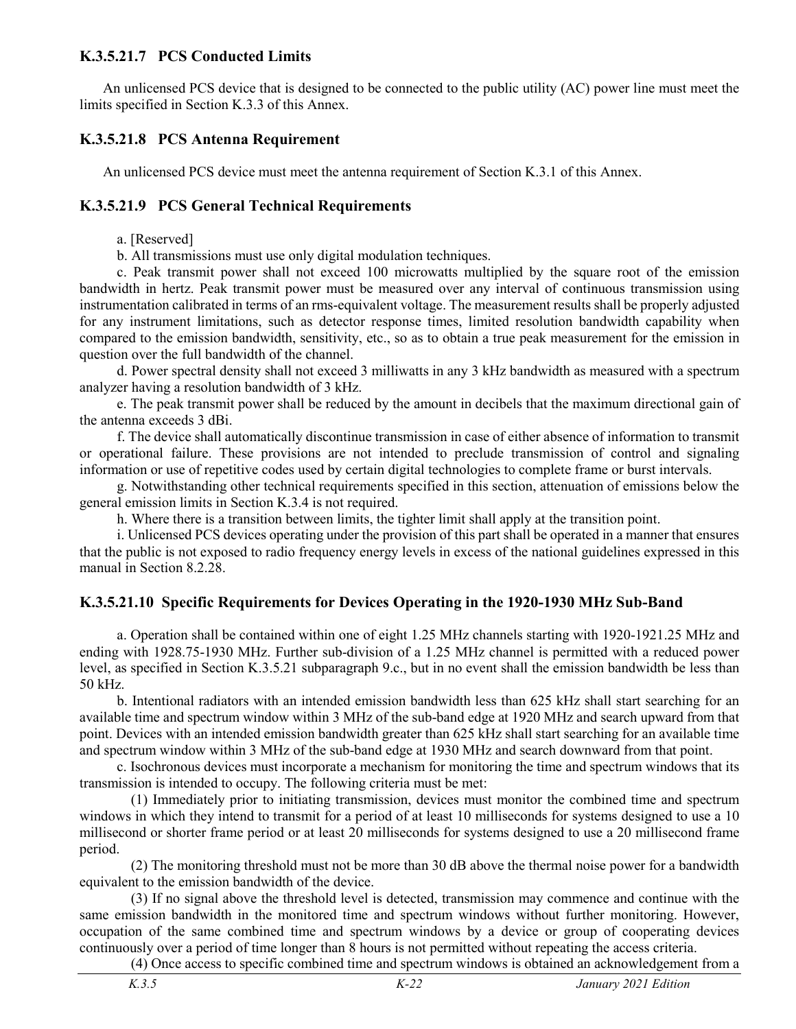## **K.3.5.21.7 PCS Conducted Limits**

An unlicensed PCS device that is designed to be connected to the public utility (AC) power line must meet the limits specified in Section K.3.3 of this Annex.

# **K.3.5.21.8 PCS Antenna Requirement**

An unlicensed PCS device must meet the antenna requirement of Section K.3.1 of this Annex.

# **K.3.5.21.9 PCS General Technical Requirements**

a. [Reserved]

b. All transmissions must use only digital modulation techniques.

c. Peak transmit power shall not exceed 100 microwatts multiplied by the square root of the emission bandwidth in hertz. Peak transmit power must be measured over any interval of continuous transmission using instrumentation calibrated in terms of an rms-equivalent voltage. The measurement results shall be properly adjusted for any instrument limitations, such as detector response times, limited resolution bandwidth capability when compared to the emission bandwidth, sensitivity, etc., so as to obtain a true peak measurement for the emission in question over the full bandwidth of the channel.

d. Power spectral density shall not exceed 3 milliwatts in any 3 kHz bandwidth as measured with a spectrum analyzer having a resolution bandwidth of 3 kHz.

e. The peak transmit power shall be reduced by the amount in decibels that the maximum directional gain of the antenna exceeds 3 dBi.

f. The device shall automatically discontinue transmission in case of either absence of information to transmit or operational failure. These provisions are not intended to preclude transmission of control and signaling information or use of repetitive codes used by certain digital technologies to complete frame or burst intervals.

g. Notwithstanding other technical requirements specified in this section, attenuation of emissions below the general emission limits in Section K.3.4 is not required.

h. Where there is a transition between limits, the tighter limit shall apply at the transition point.

i. Unlicensed PCS devices operating under the provision of this part shall be operated in a manner that ensures that the public is not exposed to radio frequency energy levels in excess of the national guidelines expressed in this manual in Section 8.2.28.

# **K.3.5.21.10 Specific Requirements for Devices Operating in the 1920-1930 MHz Sub-Band**

a. Operation shall be contained within one of eight 1.25 MHz channels starting with 1920-1921.25 MHz and ending with 1928.75-1930 MHz. Further sub-division of a 1.25 MHz channel is permitted with a reduced power level, as specified in Section K.3.5.21 subparagraph 9.c., but in no event shall the emission bandwidth be less than 50 kHz.

b. Intentional radiators with an intended emission bandwidth less than 625 kHz shall start searching for an available time and spectrum window within 3 MHz of the sub-band edge at 1920 MHz and search upward from that point. Devices with an intended emission bandwidth greater than 625 kHz shall start searching for an available time and spectrum window within 3 MHz of the sub-band edge at 1930 MHz and search downward from that point.

c. Isochronous devices must incorporate a mechanism for monitoring the time and spectrum windows that its transmission is intended to occupy. The following criteria must be met:

(1) Immediately prior to initiating transmission, devices must monitor the combined time and spectrum windows in which they intend to transmit for a period of at least 10 milliseconds for systems designed to use a 10 millisecond or shorter frame period or at least 20 milliseconds for systems designed to use a 20 millisecond frame period.

(2) The monitoring threshold must not be more than 30 dB above the thermal noise power for a bandwidth equivalent to the emission bandwidth of the device.

(3) If no signal above the threshold level is detected, transmission may commence and continue with the same emission bandwidth in the monitored time and spectrum windows without further monitoring. However, occupation of the same combined time and spectrum windows by a device or group of cooperating devices continuously over a period of time longer than 8 hours is not permitted without repeating the access criteria.

(4) Once access to specific combined time and spectrum windows is obtained an acknowledgement from a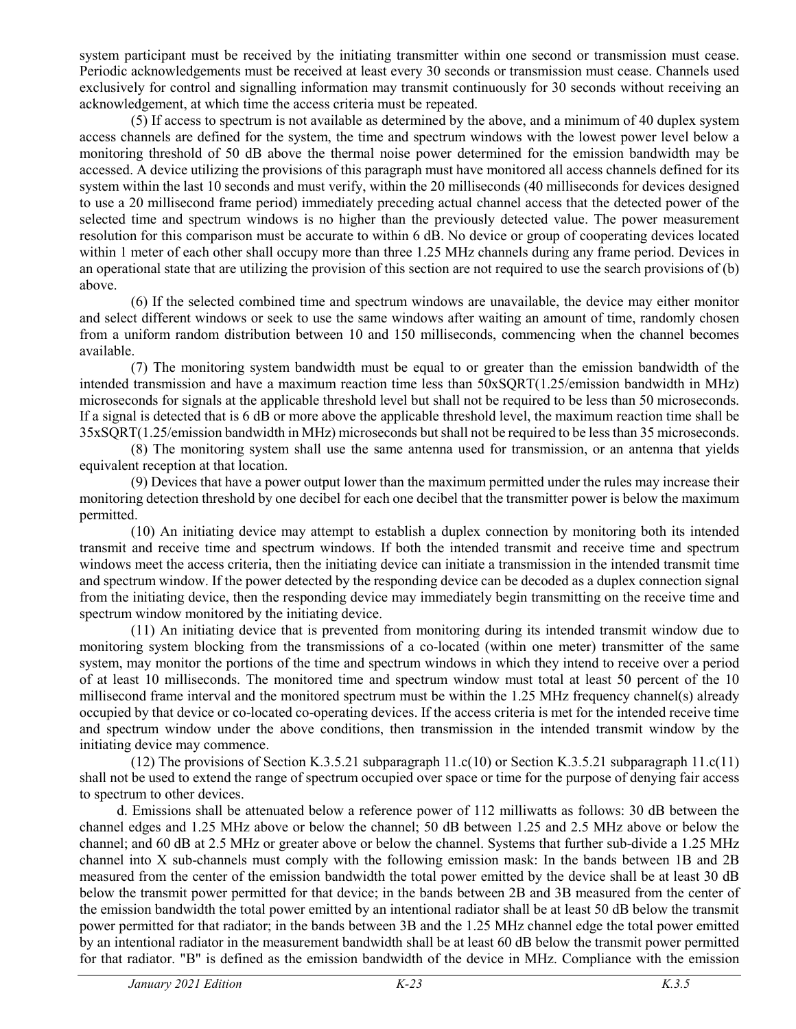system participant must be received by the initiating transmitter within one second or transmission must cease. Periodic acknowledgements must be received at least every 30 seconds or transmission must cease. Channels used exclusively for control and signalling information may transmit continuously for 30 seconds without receiving an acknowledgement, at which time the access criteria must be repeated.

(5) If access to spectrum is not available as determined by the above, and a minimum of 40 duplex system access channels are defined for the system, the time and spectrum windows with the lowest power level below a monitoring threshold of 50 dB above the thermal noise power determined for the emission bandwidth may be accessed. A device utilizing the provisions of this paragraph must have monitored all access channels defined for its system within the last 10 seconds and must verify, within the 20 milliseconds (40 milliseconds for devices designed to use a 20 millisecond frame period) immediately preceding actual channel access that the detected power of the selected time and spectrum windows is no higher than the previously detected value. The power measurement resolution for this comparison must be accurate to within 6 dB. No device or group of cooperating devices located within 1 meter of each other shall occupy more than three 1.25 MHz channels during any frame period. Devices in an operational state that are utilizing the provision of this section are not required to use the search provisions of (b) above.

(6) If the selected combined time and spectrum windows are unavailable, the device may either monitor and select different windows or seek to use the same windows after waiting an amount of time, randomly chosen from a uniform random distribution between 10 and 150 milliseconds, commencing when the channel becomes available.

(7) The monitoring system bandwidth must be equal to or greater than the emission bandwidth of the intended transmission and have a maximum reaction time less than 50xSQRT(1.25/emission bandwidth in MHz) microseconds for signals at the applicable threshold level but shall not be required to be less than 50 microseconds. If a signal is detected that is 6 dB or more above the applicable threshold level, the maximum reaction time shall be 35xSQRT(1.25/emission bandwidth in MHz) microseconds but shall not be required to be less than 35 microseconds.

(8) The monitoring system shall use the same antenna used for transmission, or an antenna that yields equivalent reception at that location.

(9) Devices that have a power output lower than the maximum permitted under the rules may increase their monitoring detection threshold by one decibel for each one decibel that the transmitter power is below the maximum permitted.

(10) An initiating device may attempt to establish a duplex connection by monitoring both its intended transmit and receive time and spectrum windows. If both the intended transmit and receive time and spectrum windows meet the access criteria, then the initiating device can initiate a transmission in the intended transmit time and spectrum window. If the power detected by the responding device can be decoded as a duplex connection signal from the initiating device, then the responding device may immediately begin transmitting on the receive time and spectrum window monitored by the initiating device.

(11) An initiating device that is prevented from monitoring during its intended transmit window due to monitoring system blocking from the transmissions of a co-located (within one meter) transmitter of the same system, may monitor the portions of the time and spectrum windows in which they intend to receive over a period of at least 10 milliseconds. The monitored time and spectrum window must total at least 50 percent of the 10 millisecond frame interval and the monitored spectrum must be within the 1.25 MHz frequency channel(s) already occupied by that device or co-located co-operating devices. If the access criteria is met for the intended receive time and spectrum window under the above conditions, then transmission in the intended transmit window by the initiating device may commence.

(12) The provisions of Section K.3.5.21 subparagraph 11.c(10) or Section K.3.5.21 subparagraph 11.c(11) shall not be used to extend the range of spectrum occupied over space or time for the purpose of denying fair access to spectrum to other devices.

d. Emissions shall be attenuated below a reference power of 112 milliwatts as follows: 30 dB between the channel edges and 1.25 MHz above or below the channel; 50 dB between 1.25 and 2.5 MHz above or below the channel; and 60 dB at 2.5 MHz or greater above or below the channel. Systems that further sub-divide a 1.25 MHz channel into X sub-channels must comply with the following emission mask: In the bands between 1B and 2B measured from the center of the emission bandwidth the total power emitted by the device shall be at least 30 dB below the transmit power permitted for that device; in the bands between 2B and 3B measured from the center of the emission bandwidth the total power emitted by an intentional radiator shall be at least 50 dB below the transmit power permitted for that radiator; in the bands between 3B and the 1.25 MHz channel edge the total power emitted by an intentional radiator in the measurement bandwidth shall be at least 60 dB below the transmit power permitted for that radiator. "B" is defined as the emission bandwidth of the device in MHz. Compliance with the emission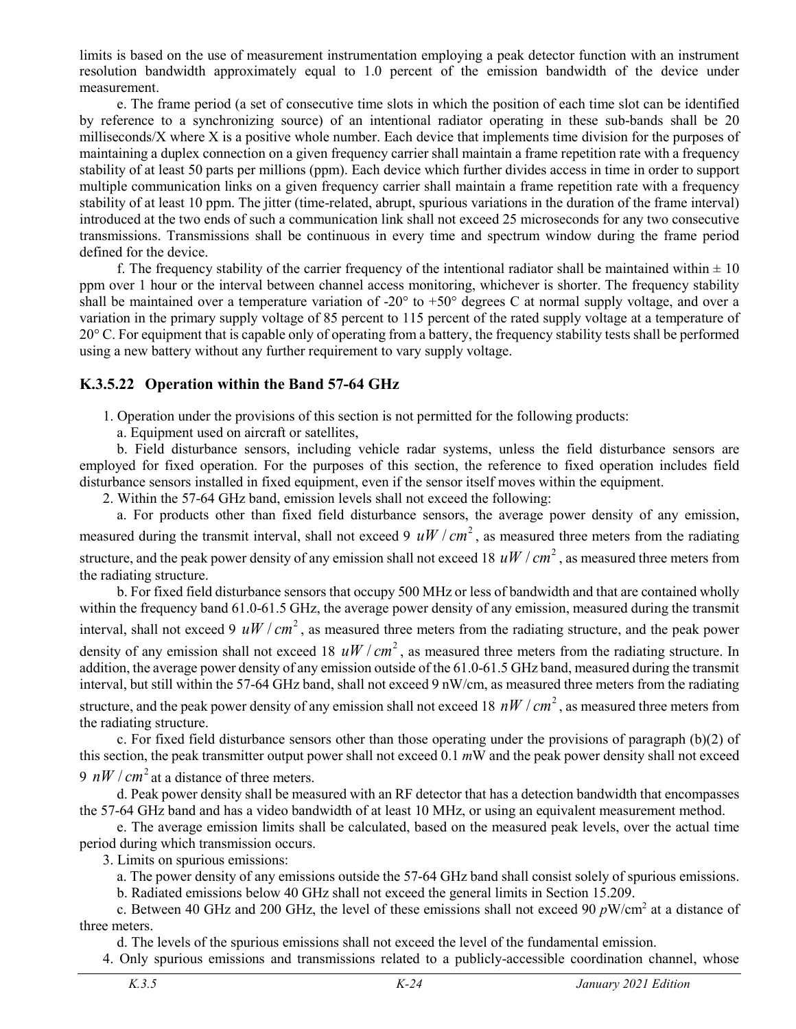limits is based on the use of measurement instrumentation employing a peak detector function with an instrument resolution bandwidth approximately equal to 1.0 percent of the emission bandwidth of the device under measurement.

e. The frame period (a set of consecutive time slots in which the position of each time slot can be identified by reference to a synchronizing source) of an intentional radiator operating in these sub-bands shall be 20 milliseconds/X where X is a positive whole number. Each device that implements time division for the purposes of maintaining a duplex connection on a given frequency carrier shall maintain a frame repetition rate with a frequency stability of at least 50 parts per millions (ppm). Each device which further divides access in time in order to support multiple communication links on a given frequency carrier shall maintain a frame repetition rate with a frequency stability of at least 10 ppm. The jitter (time-related, abrupt, spurious variations in the duration of the frame interval) introduced at the two ends of such a communication link shall not exceed 25 microseconds for any two consecutive transmissions. Transmissions shall be continuous in every time and spectrum window during the frame period defined for the device.

f. The frequency stability of the carrier frequency of the intentional radiator shall be maintained within  $\pm 10$ ppm over 1 hour or the interval between channel access monitoring, whichever is shorter. The frequency stability shall be maintained over a temperature variation of -20 $^{\circ}$  to +50 $^{\circ}$  degrees C at normal supply voltage, and over a variation in the primary supply voltage of 85 percent to 115 percent of the rated supply voltage at a temperature of 20° C. For equipment that is capable only of operating from a battery, the frequency stability tests shall be performed using a new battery without any further requirement to vary supply voltage.

### **K.3.5.22 Operation within the Band 57-64 GHz**

1. Operation under the provisions of this section is not permitted for the following products:

a. Equipment used on aircraft or satellites,

b. Field disturbance sensors, including vehicle radar systems, unless the field disturbance sensors are employed for fixed operation. For the purposes of this section, the reference to fixed operation includes field disturbance sensors installed in fixed equipment, even if the sensor itself moves within the equipment.

2. Within the 57-64 GHz band, emission levels shall not exceed the following:

a. For products other than fixed field disturbance sensors, the average power density of any emission, measured during the transmit interval, shall not exceed 9  $uW/cm^2$ , as measured three meters from the radiating structure, and the peak power density of any emission shall not exceed 18  $uW/m^2$ , as measured three meters from the radiating structure.

b. For fixed field disturbance sensors that occupy 500 MHz or less of bandwidth and that are contained wholly within the frequency band 61.0-61.5 GHz, the average power density of any emission, measured during the transmit interval, shall not exceed 9  $uW/cm^2$ , as measured three meters from the radiating structure, and the peak power density of any emission shall not exceed 18  $uW/cm^2$ , as measured three meters from the radiating structure. In addition, the average power density of any emission outside of the 61.0-61.5 GHz band, measured during the transmit interval, but still within the 57-64 GHz band, shall not exceed 9 nW/cm, as measured three meters from the radiating structure, and the peak power density of any emission shall not exceed 18  $nW / cm^2$ , as measured three meters from the radiating structure.

c. For fixed field disturbance sensors other than those operating under the provisions of paragraph (b)(2) of this section, the peak transmitter output power shall not exceed 0.1 *m*W and the peak power density shall not exceed

9  $nW / cm<sup>2</sup>$  at a distance of three meters.

d. Peak power density shall be measured with an RF detector that has a detection bandwidth that encompasses the 57-64 GHz band and has a video bandwidth of at least 10 MHz, or using an equivalent measurement method.

e. The average emission limits shall be calculated, based on the measured peak levels, over the actual time period during which transmission occurs.

3. Limits on spurious emissions:

a. The power density of any emissions outside the 57-64 GHz band shall consist solely of spurious emissions.

b. Radiated emissions below 40 GHz shall not exceed the general limits in Section 15.209.

c. Between 40 GHz and 200 GHz, the level of these emissions shall not exceed 90 *p*W/cm2 at a distance of three meters.

d. The levels of the spurious emissions shall not exceed the level of the fundamental emission.

4. Only spurious emissions and transmissions related to a publicly-accessible coordination channel, whose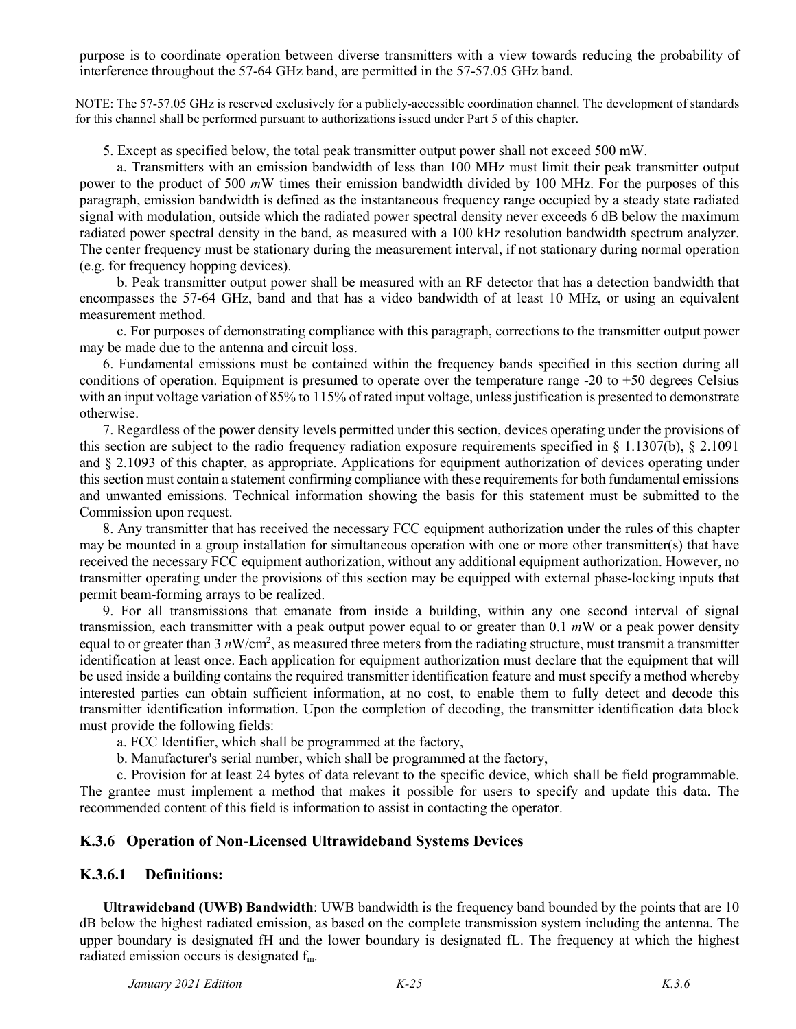purpose is to coordinate operation between diverse transmitters with a view towards reducing the probability of interference throughout the 57-64 GHz band, are permitted in the 57-57.05 GHz band.

NOTE: The 57-57.05 GHz is reserved exclusively for a publicly-accessible coordination channel. The development of standards for this channel shall be performed pursuant to authorizations issued under Part 5 of this chapter.

5. Except as specified below, the total peak transmitter output power shall not exceed 500 mW.

a. Transmitters with an emission bandwidth of less than 100 MHz must limit their peak transmitter output power to the product of 500 *m*W times their emission bandwidth divided by 100 MHz. For the purposes of this paragraph, emission bandwidth is defined as the instantaneous frequency range occupied by a steady state radiated signal with modulation, outside which the radiated power spectral density never exceeds 6 dB below the maximum radiated power spectral density in the band, as measured with a 100 kHz resolution bandwidth spectrum analyzer. The center frequency must be stationary during the measurement interval, if not stationary during normal operation (e.g. for frequency hopping devices).

b. Peak transmitter output power shall be measured with an RF detector that has a detection bandwidth that encompasses the 57-64 GHz, band and that has a video bandwidth of at least 10 MHz, or using an equivalent measurement method.

c. For purposes of demonstrating compliance with this paragraph, corrections to the transmitter output power may be made due to the antenna and circuit loss.

6. Fundamental emissions must be contained within the frequency bands specified in this section during all conditions of operation. Equipment is presumed to operate over the temperature range  $-20$  to  $+50$  degrees Celsius with an input voltage variation of 85% to 115% of rated input voltage, unless justification is presented to demonstrate otherwise.

7. Regardless of the power density levels permitted under this section, devices operating under the provisions of this section are subject to the radio frequency radiation exposure requirements specified in  $\S$  1.1307(b),  $\S$  2.1091 and § 2.1093 of this chapter, as appropriate. Applications for equipment authorization of devices operating under this section must contain a statement confirming compliance with these requirements for both fundamental emissions and unwanted emissions. Technical information showing the basis for this statement must be submitted to the Commission upon request.

8. Any transmitter that has received the necessary FCC equipment authorization under the rules of this chapter may be mounted in a group installation for simultaneous operation with one or more other transmitter(s) that have received the necessary FCC equipment authorization, without any additional equipment authorization. However, no transmitter operating under the provisions of this section may be equipped with external phase-locking inputs that permit beam-forming arrays to be realized.

9. For all transmissions that emanate from inside a building, within any one second interval of signal transmission, each transmitter with a peak output power equal to or greater than 0.1 *m*W or a peak power density equal to or greater than 3 *n*W/cm<sup>2</sup>, as measured three meters from the radiating structure, must transmit a transmitter identification at least once. Each application for equipment authorization must declare that the equipment that will be used inside a building contains the required transmitter identification feature and must specify a method whereby interested parties can obtain sufficient information, at no cost, to enable them to fully detect and decode this transmitter identification information. Upon the completion of decoding, the transmitter identification data block must provide the following fields:

a. FCC Identifier, which shall be programmed at the factory,

b. Manufacturer's serial number, which shall be programmed at the factory,

c. Provision for at least 24 bytes of data relevant to the specific device, which shall be field programmable. The grantee must implement a method that makes it possible for users to specify and update this data. The recommended content of this field is information to assist in contacting the operator.

# **K.3.6 Operation of Non-Licensed Ultrawideband Systems Devices**

# **K.3.6.1 Definitions:**

**Ultrawideband (UWB) Bandwidth**: UWB bandwidth is the frequency band bounded by the points that are 10 dB below the highest radiated emission, as based on the complete transmission system including the antenna. The upper boundary is designated fH and the lower boundary is designated fL. The frequency at which the highest radiated emission occurs is designated  $f_m$ .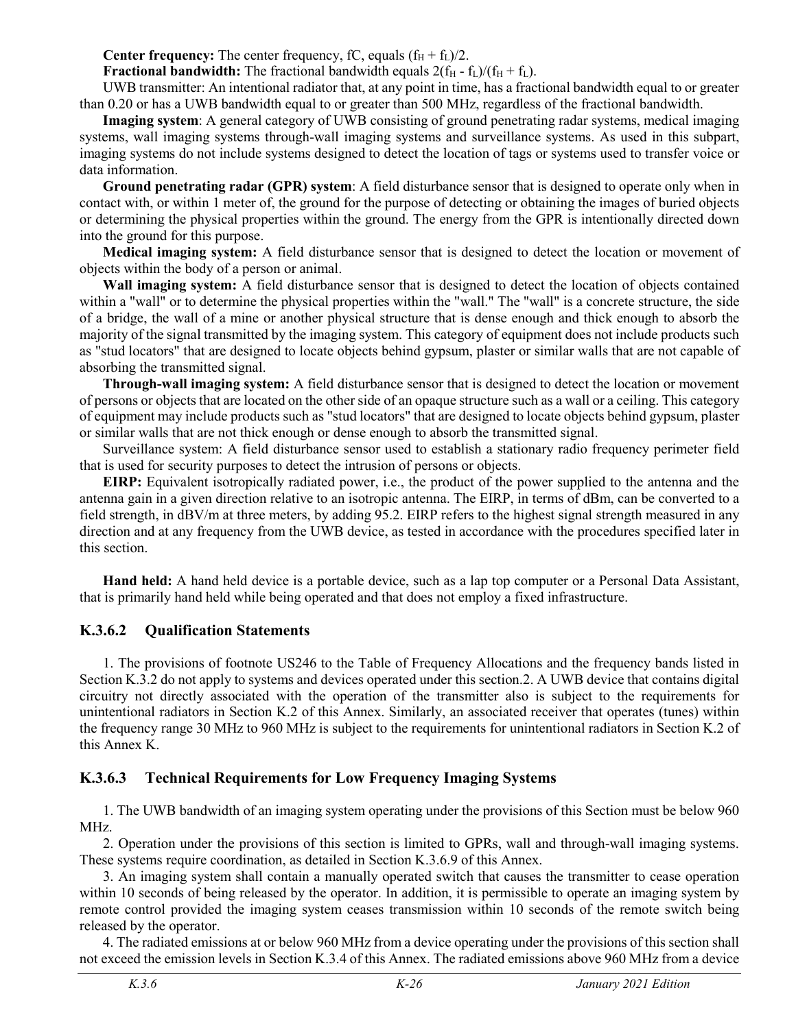**Center frequency:** The center frequency, fC, equals  $(f_H + f_L)/2$ .

**Fractional bandwidth:** The fractional bandwidth equals  $2(f_H - f_L)/(f_H + f_L)$ .

UWB transmitter: An intentional radiator that, at any point in time, has a fractional bandwidth equal to or greater than 0.20 or has a UWB bandwidth equal to or greater than 500 MHz, regardless of the fractional bandwidth.

**Imaging system**: A general category of UWB consisting of ground penetrating radar systems, medical imaging systems, wall imaging systems through-wall imaging systems and surveillance systems. As used in this subpart, imaging systems do not include systems designed to detect the location of tags or systems used to transfer voice or data information.

**Ground penetrating radar (GPR) system**: A field disturbance sensor that is designed to operate only when in contact with, or within 1 meter of, the ground for the purpose of detecting or obtaining the images of buried objects or determining the physical properties within the ground. The energy from the GPR is intentionally directed down into the ground for this purpose.

**Medical imaging system:** A field disturbance sensor that is designed to detect the location or movement of objects within the body of a person or animal.

**Wall imaging system:** A field disturbance sensor that is designed to detect the location of objects contained within a "wall" or to determine the physical properties within the "wall." The "wall" is a concrete structure, the side of a bridge, the wall of a mine or another physical structure that is dense enough and thick enough to absorb the majority of the signal transmitted by the imaging system. This category of equipment does not include products such as "stud locators" that are designed to locate objects behind gypsum, plaster or similar walls that are not capable of absorbing the transmitted signal.

**Through-wall imaging system:** A field disturbance sensor that is designed to detect the location or movement of persons or objects that are located on the other side of an opaque structure such as a wall or a ceiling. This category of equipment may include products such as "stud locators" that are designed to locate objects behind gypsum, plaster or similar walls that are not thick enough or dense enough to absorb the transmitted signal.

Surveillance system: A field disturbance sensor used to establish a stationary radio frequency perimeter field that is used for security purposes to detect the intrusion of persons or objects.

**EIRP:** Equivalent isotropically radiated power, i.e., the product of the power supplied to the antenna and the antenna gain in a given direction relative to an isotropic antenna. The EIRP, in terms of dBm, can be converted to a field strength, in dBV/m at three meters, by adding 95.2. EIRP refers to the highest signal strength measured in any direction and at any frequency from the UWB device, as tested in accordance with the procedures specified later in this section.

**Hand held:** A hand held device is a portable device, such as a lap top computer or a Personal Data Assistant, that is primarily hand held while being operated and that does not employ a fixed infrastructure.

### **K.3.6.2 Qualification Statements**

1. The provisions of footnote US246 to the Table of Frequency Allocations and the frequency bands listed in Section K.3.2 do not apply to systems and devices operated under this section.2. A UWB device that contains digital circuitry not directly associated with the operation of the transmitter also is subject to the requirements for unintentional radiators in Section K.2 of this Annex. Similarly, an associated receiver that operates (tunes) within the frequency range 30 MHz to 960 MHz is subject to the requirements for unintentional radiators in Section K.2 of this Annex K.

# **K.3.6.3 Technical Requirements for Low Frequency Imaging Systems**

1. The UWB bandwidth of an imaging system operating under the provisions of this Section must be below 960 MHz.

2. Operation under the provisions of this section is limited to GPRs, wall and through-wall imaging systems. These systems require coordination, as detailed in Section K.3.6.9 of this Annex.

3. An imaging system shall contain a manually operated switch that causes the transmitter to cease operation within 10 seconds of being released by the operator. In addition, it is permissible to operate an imaging system by remote control provided the imaging system ceases transmission within 10 seconds of the remote switch being released by the operator.

4. The radiated emissions at or below 960 MHz from a device operating under the provisions of this section shall not exceed the emission levels in Section K.3.4 of this Annex. The radiated emissions above 960 MHz from a device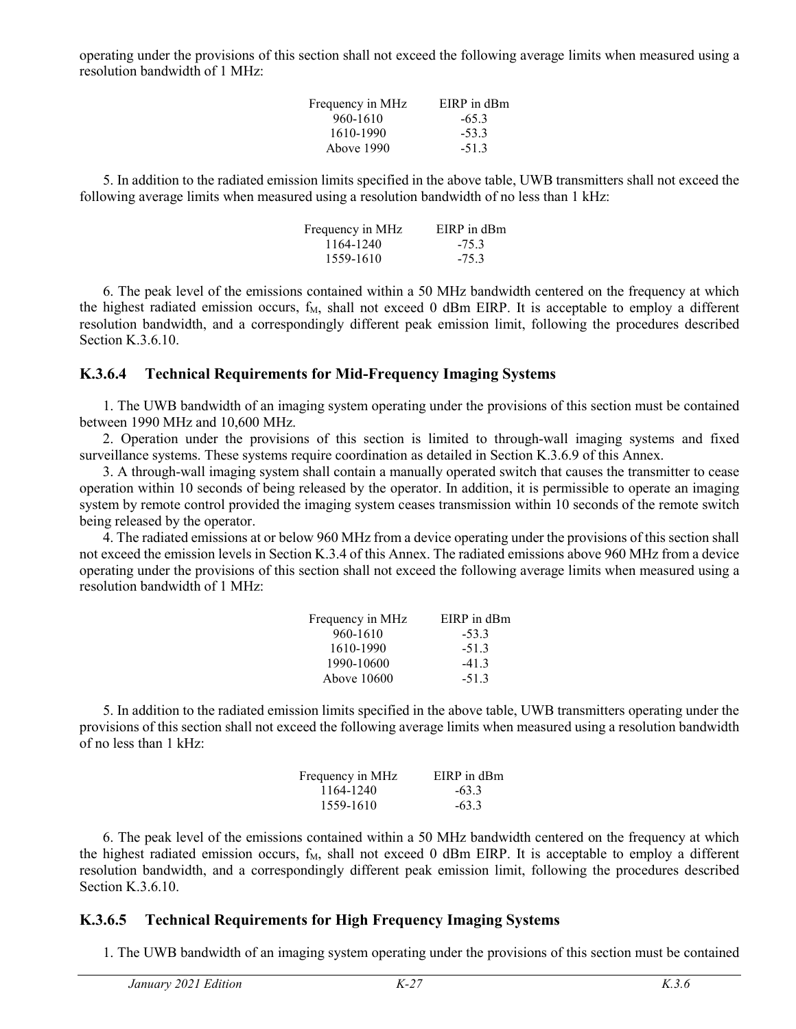operating under the provisions of this section shall not exceed the following average limits when measured using a resolution bandwidth of 1 MHz:

| Frequency in MHz | EIRP in dBm |
|------------------|-------------|
| 960-1610         | $-65.3$     |
| 1610-1990        | $-53.3$     |
| Above 1990       | $-51.3$     |

5. In addition to the radiated emission limits specified in the above table, UWB transmitters shall not exceed the following average limits when measured using a resolution bandwidth of no less than 1 kHz:

| Frequency in MHz | EIRP in dBm |
|------------------|-------------|
| 1164-1240        | $-75.3$     |
| 1559-1610        | $-75.3$     |

6. The peak level of the emissions contained within a 50 MHz bandwidth centered on the frequency at which the highest radiated emission occurs,  $f_M$ , shall not exceed 0 dBm EIRP. It is acceptable to employ a different resolution bandwidth, and a correspondingly different peak emission limit, following the procedures described Section K.3.6.10.

#### **K.3.6.4 Technical Requirements for Mid-Frequency Imaging Systems**

1. The UWB bandwidth of an imaging system operating under the provisions of this section must be contained between 1990 MHz and 10,600 MHz.

2. Operation under the provisions of this section is limited to through-wall imaging systems and fixed surveillance systems. These systems require coordination as detailed in Section K.3.6.9 of this Annex.

3. A through-wall imaging system shall contain a manually operated switch that causes the transmitter to cease operation within 10 seconds of being released by the operator. In addition, it is permissible to operate an imaging system by remote control provided the imaging system ceases transmission within 10 seconds of the remote switch being released by the operator.

4. The radiated emissions at or below 960 MHz from a device operating under the provisions of this section shall not exceed the emission levels in Section K.3.4 of this Annex. The radiated emissions above 960 MHz from a device operating under the provisions of this section shall not exceed the following average limits when measured using a resolution bandwidth of 1 MHz:

| EIRP in dBm |
|-------------|
| $-53.3$     |
| $-51.3$     |
| $-41.3$     |
| $-51.3$     |
|             |

5. In addition to the radiated emission limits specified in the above table, UWB transmitters operating under the provisions of this section shall not exceed the following average limits when measured using a resolution bandwidth of no less than 1 kHz:

| Frequency in MHz | EIRP in dBm |
|------------------|-------------|
| 1164-1240        | $-63.3$     |
| 1559-1610        | $-63.3$     |

6. The peak level of the emissions contained within a 50 MHz bandwidth centered on the frequency at which the highest radiated emission occurs,  $f_M$ , shall not exceed 0 dBm EIRP. It is acceptable to employ a different resolution bandwidth, and a correspondingly different peak emission limit, following the procedures described Section K.3.6.10.

### **K.3.6.5 Technical Requirements for High Frequency Imaging Systems**

1. The UWB bandwidth of an imaging system operating under the provisions of this section must be contained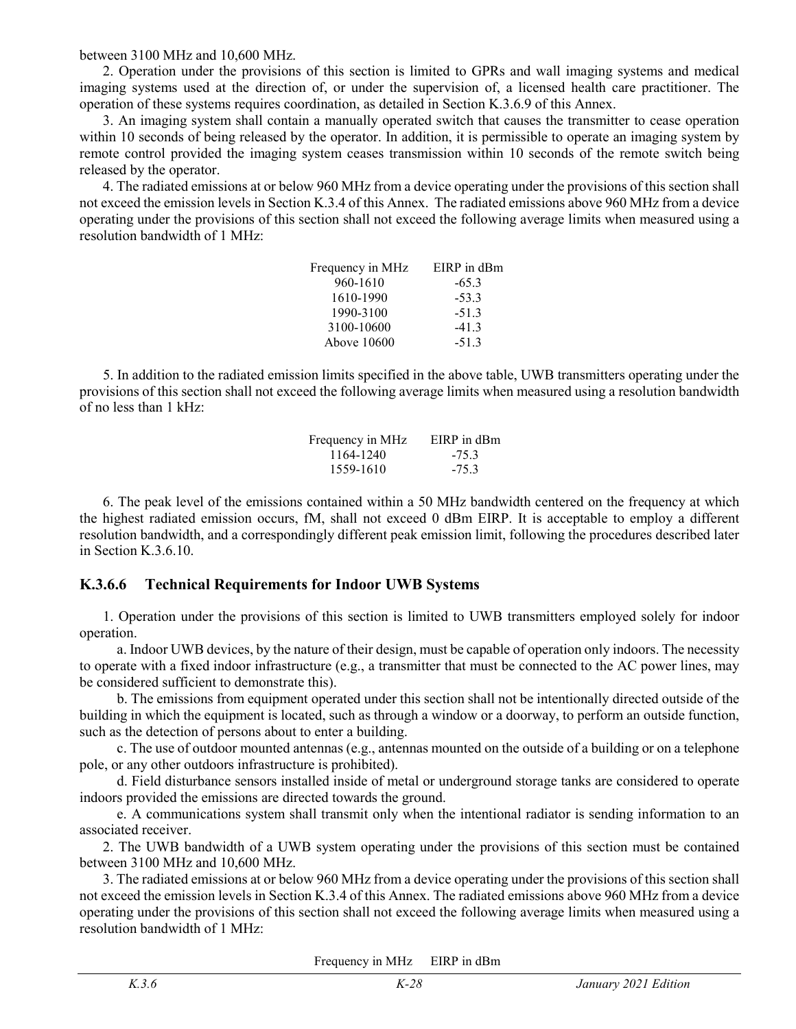between 3100 MHz and 10,600 MHz.

2. Operation under the provisions of this section is limited to GPRs and wall imaging systems and medical imaging systems used at the direction of, or under the supervision of, a licensed health care practitioner. The operation of these systems requires coordination, as detailed in Section K.3.6.9 of this Annex.

3. An imaging system shall contain a manually operated switch that causes the transmitter to cease operation within 10 seconds of being released by the operator. In addition, it is permissible to operate an imaging system by remote control provided the imaging system ceases transmission within 10 seconds of the remote switch being released by the operator.

4. The radiated emissions at or below 960 MHz from a device operating under the provisions of this section shall not exceed the emission levels in Section K.3.4 of this Annex. The radiated emissions above 960 MHz from a device operating under the provisions of this section shall not exceed the following average limits when measured using a resolution bandwidth of 1 MHz:

| Frequency in MHz | EIRP in dBm |
|------------------|-------------|
| 960-1610         | $-65.3$     |
| 1610-1990        | $-53.3$     |
| 1990-3100        | $-51.3$     |
| 3100-10600       | $-41.3$     |
| Above 10600      | $-51.3$     |

5. In addition to the radiated emission limits specified in the above table, UWB transmitters operating under the provisions of this section shall not exceed the following average limits when measured using a resolution bandwidth of no less than 1 kHz:

| Frequency in MHz | EIRP in dBm |
|------------------|-------------|
| 1164-1240        | $-75.3$     |
| 1559-1610        | $-75.3$     |

6. The peak level of the emissions contained within a 50 MHz bandwidth centered on the frequency at which the highest radiated emission occurs, fM, shall not exceed 0 dBm EIRP. It is acceptable to employ a different resolution bandwidth, and a correspondingly different peak emission limit, following the procedures described later in Section K.3.6.10.

### **K.3.6.6 Technical Requirements for Indoor UWB Systems**

1. Operation under the provisions of this section is limited to UWB transmitters employed solely for indoor operation.

a. Indoor UWB devices, by the nature of their design, must be capable of operation only indoors. The necessity to operate with a fixed indoor infrastructure (e.g., a transmitter that must be connected to the AC power lines, may be considered sufficient to demonstrate this).

b. The emissions from equipment operated under this section shall not be intentionally directed outside of the building in which the equipment is located, such as through a window or a doorway, to perform an outside function, such as the detection of persons about to enter a building.

c. The use of outdoor mounted antennas (e.g., antennas mounted on the outside of a building or on a telephone pole, or any other outdoors infrastructure is prohibited).

d. Field disturbance sensors installed inside of metal or underground storage tanks are considered to operate indoors provided the emissions are directed towards the ground.

e. A communications system shall transmit only when the intentional radiator is sending information to an associated receiver.

2. The UWB bandwidth of a UWB system operating under the provisions of this section must be contained between 3100 MHz and 10,600 MHz.

3. The radiated emissions at or below 960 MHz from a device operating under the provisions of this section shall not exceed the emission levels in Section K.3.4 of this Annex. The radiated emissions above 960 MHz from a device operating under the provisions of this section shall not exceed the following average limits when measured using a resolution bandwidth of 1 MHz:

Frequency in MHz EIRP in dBm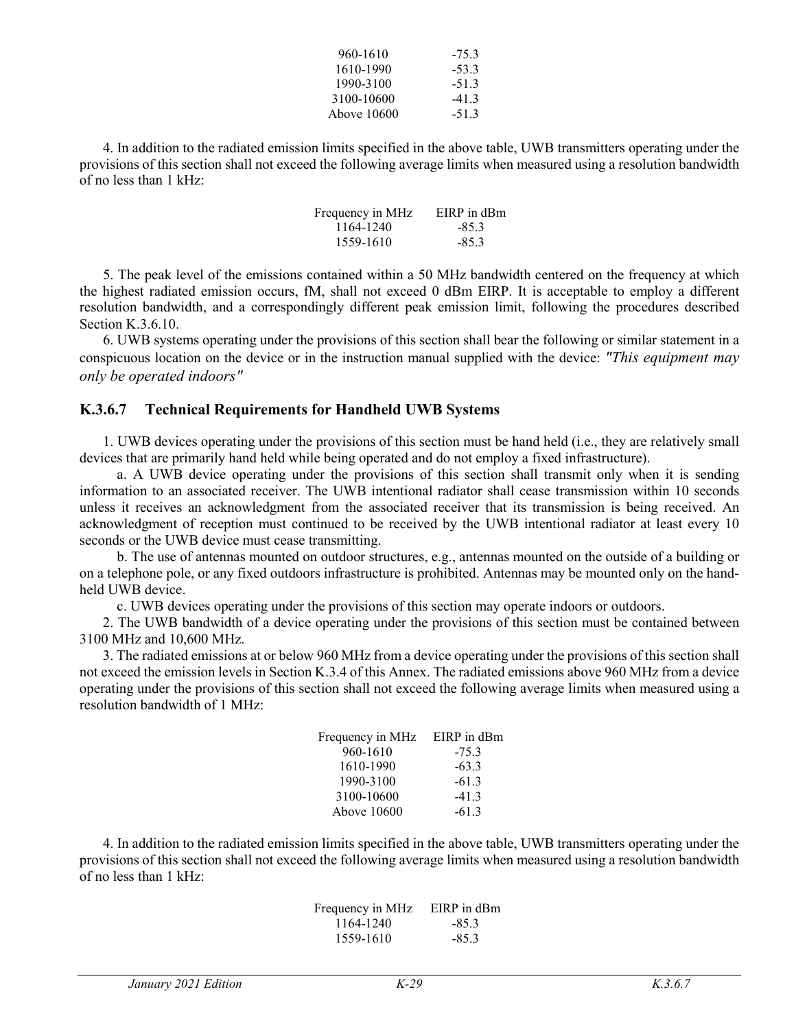| 960-1610    | $-75.3$ |
|-------------|---------|
| 1610-1990   | $-53.3$ |
| 1990-3100   | $-51.3$ |
| 3100-10600  | $-41.3$ |
| Above 10600 | $-51.3$ |

4. In addition to the radiated emission limits specified in the above table, UWB transmitters operating under the provisions of this section shall not exceed the following average limits when measured using a resolution bandwidth of no less than 1 kHz:

| Frequency in MHz | EIRP in dBm |
|------------------|-------------|
| 1164-1240        | $-85.3$     |
| 1559-1610        | $-85.3$     |

5. The peak level of the emissions contained within a 50 MHz bandwidth centered on the frequency at which the highest radiated emission occurs, fM, shall not exceed 0 dBm EIRP. It is acceptable to employ a different resolution bandwidth, and a correspondingly different peak emission limit, following the procedures described Section K.3.6.10.

6. UWB systems operating under the provisions of this section shall bear the following or similar statement in a conspicuous location on the device or in the instruction manual supplied with the device: *"This equipment may only be operated indoors"*

#### **K.3.6.7 Technical Requirements for Handheld UWB Systems**

1. UWB devices operating under the provisions of this section must be hand held (i.e., they are relatively small devices that are primarily hand held while being operated and do not employ a fixed infrastructure).

a. A UWB device operating under the provisions of this section shall transmit only when it is sending information to an associated receiver. The UWB intentional radiator shall cease transmission within 10 seconds unless it receives an acknowledgment from the associated receiver that its transmission is being received. An acknowledgment of reception must continued to be received by the UWB intentional radiator at least every 10 seconds or the UWB device must cease transmitting.

b. The use of antennas mounted on outdoor structures, e.g., antennas mounted on the outside of a building or on a telephone pole, or any fixed outdoors infrastructure is prohibited. Antennas may be mounted only on the handheld UWB device.

c. UWB devices operating under the provisions of this section may operate indoors or outdoors.

2. The UWB bandwidth of a device operating under the provisions of this section must be contained between 3100 MHz and 10,600 MHz.

3. The radiated emissions at or below 960 MHz from a device operating under the provisions of this section shall not exceed the emission levels in Section K.3.4 of this Annex. The radiated emissions above 960 MHz from a device operating under the provisions of this section shall not exceed the following average limits when measured using a resolution bandwidth of 1 MHz:

| Frequency in MHz | EIRP in dBm |
|------------------|-------------|
| 960-1610         | $-75.3$     |
| 1610-1990        | $-63.3$     |
| 1990-3100        | $-61.3$     |
| 3100-10600       | $-41.3$     |
| Above 10600      | $-61.3$     |

4. In addition to the radiated emission limits specified in the above table, UWB transmitters operating under the provisions of this section shall not exceed the following average limits when measured using a resolution bandwidth of no less than 1 kHz:

| Frequency in MHz | EIRP in dBm |
|------------------|-------------|
| 1164-1240        | $-85.3$     |
| 1559-1610        | $-85.3$     |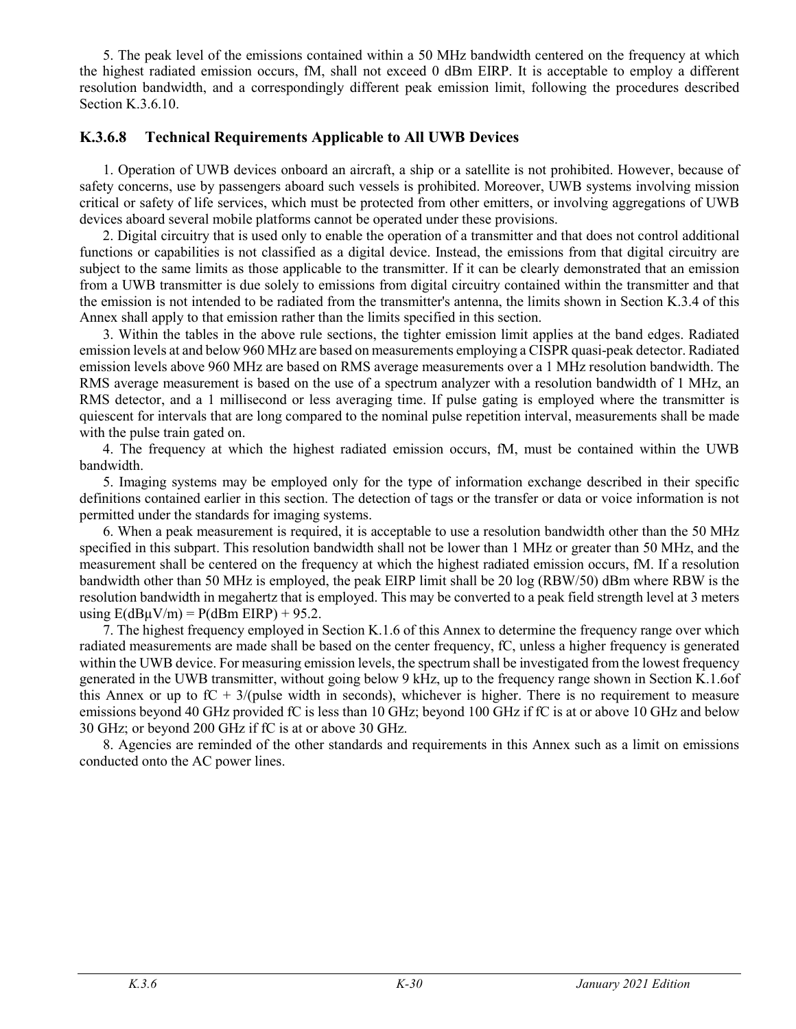5. The peak level of the emissions contained within a 50 MHz bandwidth centered on the frequency at which the highest radiated emission occurs, fM, shall not exceed 0 dBm EIRP. It is acceptable to employ a different resolution bandwidth, and a correspondingly different peak emission limit, following the procedures described Section K.3.6.10.

# **K.3.6.8 Technical Requirements Applicable to All UWB Devices**

1. Operation of UWB devices onboard an aircraft, a ship or a satellite is not prohibited. However, because of safety concerns, use by passengers aboard such vessels is prohibited. Moreover, UWB systems involving mission critical or safety of life services, which must be protected from other emitters, or involving aggregations of UWB devices aboard several mobile platforms cannot be operated under these provisions.

2. Digital circuitry that is used only to enable the operation of a transmitter and that does not control additional functions or capabilities is not classified as a digital device. Instead, the emissions from that digital circuitry are subject to the same limits as those applicable to the transmitter. If it can be clearly demonstrated that an emission from a UWB transmitter is due solely to emissions from digital circuitry contained within the transmitter and that the emission is not intended to be radiated from the transmitter's antenna, the limits shown in Section K.3.4 of this Annex shall apply to that emission rather than the limits specified in this section.

3. Within the tables in the above rule sections, the tighter emission limit applies at the band edges. Radiated emission levels at and below 960 MHz are based on measurements employing a CISPR quasi-peak detector. Radiated emission levels above 960 MHz are based on RMS average measurements over a 1 MHz resolution bandwidth. The RMS average measurement is based on the use of a spectrum analyzer with a resolution bandwidth of 1 MHz, an RMS detector, and a 1 millisecond or less averaging time. If pulse gating is employed where the transmitter is quiescent for intervals that are long compared to the nominal pulse repetition interval, measurements shall be made with the pulse train gated on.

4. The frequency at which the highest radiated emission occurs, fM, must be contained within the UWB bandwidth.

5. Imaging systems may be employed only for the type of information exchange described in their specific definitions contained earlier in this section. The detection of tags or the transfer or data or voice information is not permitted under the standards for imaging systems.

6. When a peak measurement is required, it is acceptable to use a resolution bandwidth other than the 50 MHz specified in this subpart. This resolution bandwidth shall not be lower than 1 MHz or greater than 50 MHz, and the measurement shall be centered on the frequency at which the highest radiated emission occurs, fM. If a resolution bandwidth other than 50 MHz is employed, the peak EIRP limit shall be 20 log (RBW/50) dBm where RBW is the resolution bandwidth in megahertz that is employed. This may be converted to a peak field strength level at 3 meters using  $E(dB\mu V/m) = P(dBm EIRP) + 95.2$ .

7. The highest frequency employed in Section K.1.6 of this Annex to determine the frequency range over which radiated measurements are made shall be based on the center frequency, fC, unless a higher frequency is generated within the UWB device. For measuring emission levels, the spectrum shall be investigated from the lowest frequency generated in the UWB transmitter, without going below 9 kHz, up to the frequency range shown in Section K.1.6of this Annex or up to  $fC + 3/(p$ ulse width in seconds), whichever is higher. There is no requirement to measure emissions beyond 40 GHz provided fC is less than 10 GHz; beyond 100 GHz if fC is at or above 10 GHz and below 30 GHz; or beyond 200 GHz if fC is at or above 30 GHz.

8. Agencies are reminded of the other standards and requirements in this Annex such as a limit on emissions conducted onto the AC power lines.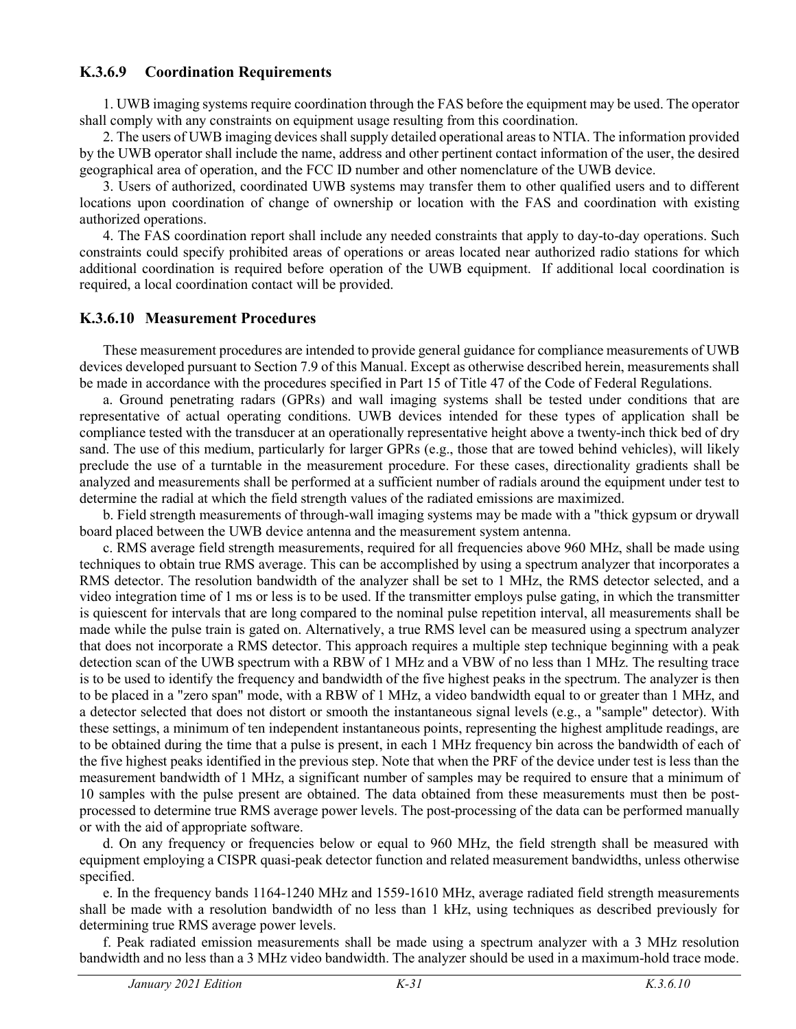## **K.3.6.9 Coordination Requirements**

1. UWB imaging systems require coordination through the FAS before the equipment may be used. The operator shall comply with any constraints on equipment usage resulting from this coordination.

2. The users of UWB imaging devices shall supply detailed operational areas to NTIA. The information provided by the UWB operator shall include the name, address and other pertinent contact information of the user, the desired geographical area of operation, and the FCC ID number and other nomenclature of the UWB device.

3. Users of authorized, coordinated UWB systems may transfer them to other qualified users and to different locations upon coordination of change of ownership or location with the FAS and coordination with existing authorized operations.

4. The FAS coordination report shall include any needed constraints that apply to day-to-day operations. Such constraints could specify prohibited areas of operations or areas located near authorized radio stations for which additional coordination is required before operation of the UWB equipment. If additional local coordination is required, a local coordination contact will be provided.

### **K.3.6.10 Measurement Procedures**

These measurement procedures are intended to provide general guidance for compliance measurements of UWB devices developed pursuant to Section 7.9 of this Manual. Except as otherwise described herein, measurements shall be made in accordance with the procedures specified in Part 15 of Title 47 of the Code of Federal Regulations.

a. Ground penetrating radars (GPRs) and wall imaging systems shall be tested under conditions that are representative of actual operating conditions. UWB devices intended for these types of application shall be compliance tested with the transducer at an operationally representative height above a twenty-inch thick bed of dry sand. The use of this medium, particularly for larger GPRs (e.g., those that are towed behind vehicles), will likely preclude the use of a turntable in the measurement procedure. For these cases, directionality gradients shall be analyzed and measurements shall be performed at a sufficient number of radials around the equipment under test to determine the radial at which the field strength values of the radiated emissions are maximized.

b. Field strength measurements of through-wall imaging systems may be made with a "thick gypsum or drywall board placed between the UWB device antenna and the measurement system antenna.

c. RMS average field strength measurements, required for all frequencies above 960 MHz, shall be made using techniques to obtain true RMS average. This can be accomplished by using a spectrum analyzer that incorporates a RMS detector. The resolution bandwidth of the analyzer shall be set to 1 MHz, the RMS detector selected, and a video integration time of 1 ms or less is to be used. If the transmitter employs pulse gating, in which the transmitter is quiescent for intervals that are long compared to the nominal pulse repetition interval, all measurements shall be made while the pulse train is gated on. Alternatively, a true RMS level can be measured using a spectrum analyzer that does not incorporate a RMS detector. This approach requires a multiple step technique beginning with a peak detection scan of the UWB spectrum with a RBW of 1 MHz and a VBW of no less than 1 MHz. The resulting trace is to be used to identify the frequency and bandwidth of the five highest peaks in the spectrum. The analyzer is then to be placed in a "zero span" mode, with a RBW of 1 MHz, a video bandwidth equal to or greater than 1 MHz, and a detector selected that does not distort or smooth the instantaneous signal levels (e.g., a "sample" detector). With these settings, a minimum of ten independent instantaneous points, representing the highest amplitude readings, are to be obtained during the time that a pulse is present, in each 1 MHz frequency bin across the bandwidth of each of the five highest peaks identified in the previous step. Note that when the PRF of the device under test is less than the measurement bandwidth of 1 MHz, a significant number of samples may be required to ensure that a minimum of 10 samples with the pulse present are obtained. The data obtained from these measurements must then be postprocessed to determine true RMS average power levels. The post-processing of the data can be performed manually or with the aid of appropriate software.

d. On any frequency or frequencies below or equal to 960 MHz, the field strength shall be measured with equipment employing a CISPR quasi-peak detector function and related measurement bandwidths, unless otherwise specified.

e. In the frequency bands 1164-1240 MHz and 1559-1610 MHz, average radiated field strength measurements shall be made with a resolution bandwidth of no less than 1 kHz, using techniques as described previously for determining true RMS average power levels.

f. Peak radiated emission measurements shall be made using a spectrum analyzer with a 3 MHz resolution bandwidth and no less than a 3 MHz video bandwidth. The analyzer should be used in a maximum-hold trace mode.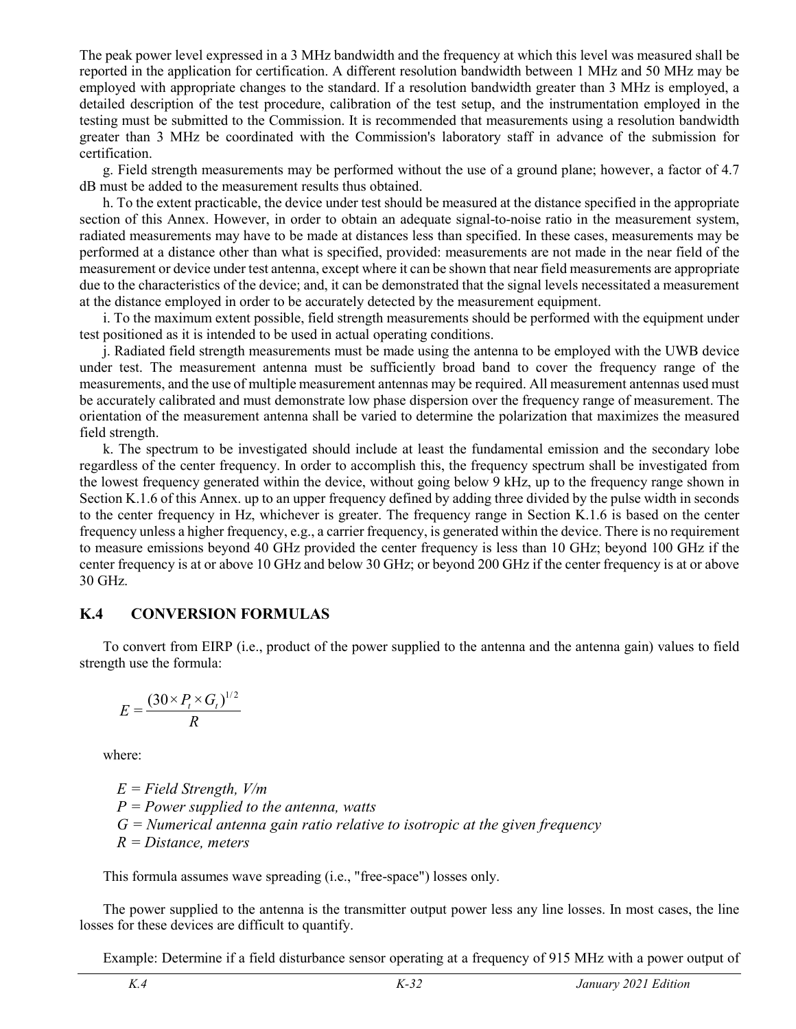The peak power level expressed in a 3 MHz bandwidth and the frequency at which this level was measured shall be reported in the application for certification. A different resolution bandwidth between 1 MHz and 50 MHz may be employed with appropriate changes to the standard. If a resolution bandwidth greater than 3 MHz is employed, a detailed description of the test procedure, calibration of the test setup, and the instrumentation employed in the testing must be submitted to the Commission. It is recommended that measurements using a resolution bandwidth greater than 3 MHz be coordinated with the Commission's laboratory staff in advance of the submission for certification.

g. Field strength measurements may be performed without the use of a ground plane; however, a factor of 4.7 dB must be added to the measurement results thus obtained.

h. To the extent practicable, the device under test should be measured at the distance specified in the appropriate section of this Annex. However, in order to obtain an adequate signal-to-noise ratio in the measurement system, radiated measurements may have to be made at distances less than specified. In these cases, measurements may be performed at a distance other than what is specified, provided: measurements are not made in the near field of the measurement or device under test antenna, except where it can be shown that near field measurements are appropriate due to the characteristics of the device; and, it can be demonstrated that the signal levels necessitated a measurement at the distance employed in order to be accurately detected by the measurement equipment.

i. To the maximum extent possible, field strength measurements should be performed with the equipment under test positioned as it is intended to be used in actual operating conditions.

j. Radiated field strength measurements must be made using the antenna to be employed with the UWB device under test. The measurement antenna must be sufficiently broad band to cover the frequency range of the measurements, and the use of multiple measurement antennas may be required. All measurement antennas used must be accurately calibrated and must demonstrate low phase dispersion over the frequency range of measurement. The orientation of the measurement antenna shall be varied to determine the polarization that maximizes the measured field strength.

k. The spectrum to be investigated should include at least the fundamental emission and the secondary lobe regardless of the center frequency. In order to accomplish this, the frequency spectrum shall be investigated from the lowest frequency generated within the device, without going below 9 kHz, up to the frequency range shown in Section K.1.6 of this Annex. up to an upper frequency defined by adding three divided by the pulse width in seconds to the center frequency in Hz, whichever is greater. The frequency range in Section K.1.6 is based on the center frequency unless a higher frequency, e.g., a carrier frequency, is generated within the device. There is no requirement to measure emissions beyond 40 GHz provided the center frequency is less than 10 GHz; beyond 100 GHz if the center frequency is at or above 10 GHz and below 30 GHz; or beyond 200 GHz if the center frequency is at or above 30 GHz.

### **K.4 CONVERSION FORMULAS**

To convert from EIRP (i.e., product of the power supplied to the antenna and the antenna gain) values to field strength use the formula:

$$
E = \frac{(30 \times P_t \times G_t)^{1/2}}{R}
$$

where:

*E = Field Strength, V/m P = Power supplied to the antenna, watts G = Numerical antenna gain ratio relative to isotropic at the given frequency R = Distance, meters*

This formula assumes wave spreading (i.e., "free-space") losses only.

The power supplied to the antenna is the transmitter output power less any line losses. In most cases, the line losses for these devices are difficult to quantify.

Example: Determine if a field disturbance sensor operating at a frequency of 915 MHz with a power output of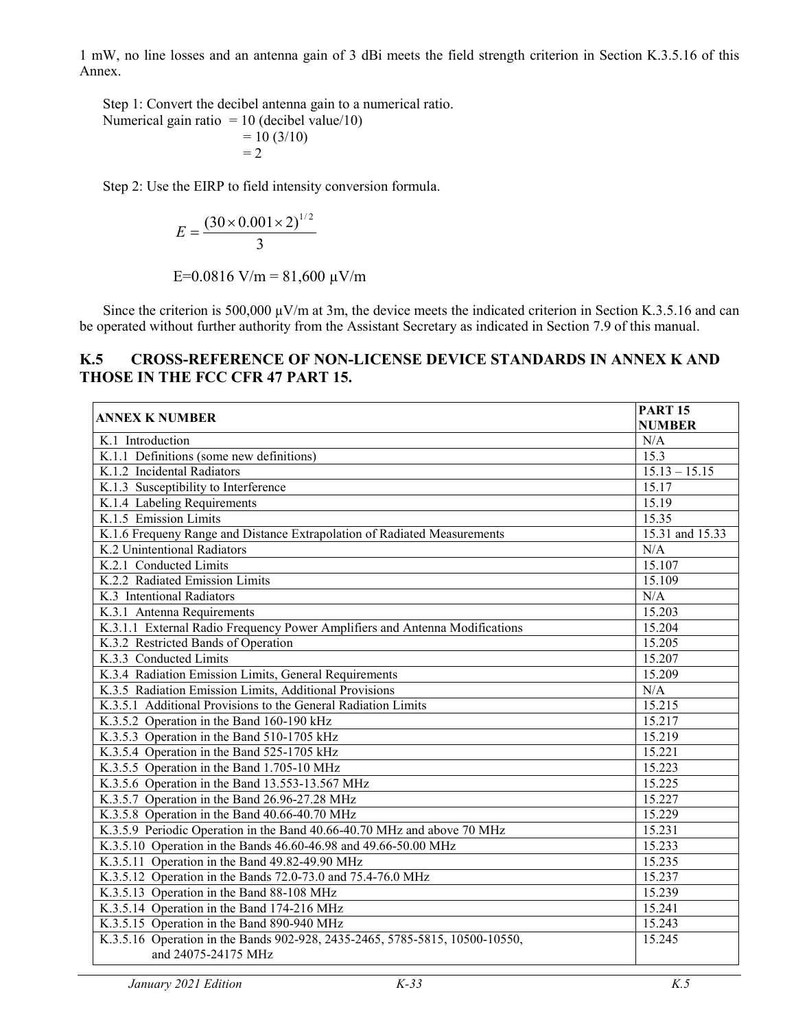1 mW, no line losses and an antenna gain of 3 dBi meets the field strength criterion in Section K.3.5.16 of this Annex.

Step 1: Convert the decibel antenna gain to a numerical ratio.<br>Numerical gain ratio = 10 (decibel value/10)  $\frac{60}{10}$  (decibel value/10)

= 10 (3/10)

$$
=2
$$

Step 2: Use the EIRP to field intensity conversion formula.

$$
E = \frac{(30 \times 0.001 \times 2)^{1/2}}{3}
$$

E=0.0816 V/m = 81,600  $\mu$ V/m

Since the criterion is 500,000  $\mu$ V/m at 3m, the device meets the indicated criterion in Section K.3.5.16 and can be operated without further authority from the Assistant Secretary as indicated in Section 7.9 of this manual.

# **K.5 CROSS-REFERENCE OF NON-LICENSE DEVICE STANDARDS IN ANNEX K AND THOSE IN THE FCC CFR 47 PART 15.**

| <b>ANNEX K NUMBER</b>                                                       | <b>PART 15</b>  |
|-----------------------------------------------------------------------------|-----------------|
|                                                                             | <b>NUMBER</b>   |
| K.1 Introduction                                                            | N/A             |
| K.1.1 Definitions (some new definitions)                                    | 15.3            |
| K.1.2 Incidental Radiators                                                  | $15.13 - 15.15$ |
| K.1.3 Susceptibility to Interference                                        | 15.17           |
| K.1.4 Labeling Requirements                                                 | 15.19           |
| K.1.5 Emission Limits                                                       | 15.35           |
| K.1.6 Frequeny Range and Distance Extrapolation of Radiated Measurements    | 15.31 and 15.33 |
| K.2 Unintentional Radiators                                                 | N/A             |
| K.2.1 Conducted Limits                                                      | 15.107          |
| K.2.2 Radiated Emission Limits                                              | 15.109          |
| K.3 Intentional Radiators                                                   | N/A             |
| K.3.1 Antenna Requirements                                                  | 15.203          |
| K.3.1.1 External Radio Frequency Power Amplifiers and Antenna Modifications | 15.204          |
| K.3.2 Restricted Bands of Operation                                         | 15.205          |
| K.3.3 Conducted Limits                                                      | 15.207          |
| K.3.4 Radiation Emission Limits, General Requirements                       | 15.209          |
| K.3.5 Radiation Emission Limits, Additional Provisions                      | N/A             |
| K.3.5.1 Additional Provisions to the General Radiation Limits               | 15.215          |
| $\overline{K.3.5.2}$ Operation in the Band 160-190 kHz                      | 15.217          |
| K.3.5.3 Operation in the Band 510-1705 kHz                                  | 15.219          |
| K.3.5.4 Operation in the Band 525-1705 kHz                                  | 15.221          |
| K.3.5.5 Operation in the Band 1.705-10 MHz                                  | 15.223          |
| K.3.5.6 Operation in the Band 13.553-13.567 MHz                             | 15.225          |
| K.3.5.7 Operation in the Band 26.96-27.28 MHz                               | 15.227          |
| K.3.5.8 Operation in the Band 40.66-40.70 MHz                               | 15.229          |
| K.3.5.9 Periodic Operation in the Band 40.66-40.70 MHz and above 70 MHz     | 15.231          |
| K.3.5.10 Operation in the Bands 46.60-46.98 and 49.66-50.00 MHz             | 15.233          |
| K.3.5.11 Operation in the Band 49.82-49.90 MHz                              | 15.235          |
| K.3.5.12 Operation in the Bands 72.0-73.0 and 75.4-76.0 MHz                 | 15.237          |
| K.3.5.13 Operation in the Band 88-108 MHz                                   | 15.239          |
| K.3.5.14 Operation in the Band 174-216 MHz                                  | 15.241          |
| K.3.5.15 Operation in the Band 890-940 MHz                                  | 15.243          |
| K.3.5.16 Operation in the Bands 902-928, 2435-2465, 5785-5815, 10500-10550, | 15.245          |
| and 24075-24175 MHz                                                         |                 |